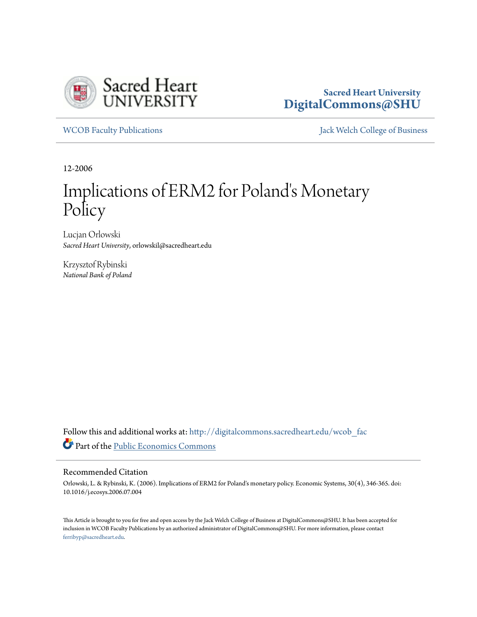

## **Sacred Heart University [DigitalCommons@SHU](http://digitalcommons.sacredheart.edu?utm_source=digitalcommons.sacredheart.edu%2Fwcob_fac%2F152&utm_medium=PDF&utm_campaign=PDFCoverPages)**

[WCOB Faculty Publications](http://digitalcommons.sacredheart.edu/wcob_fac?utm_source=digitalcommons.sacredheart.edu%2Fwcob_fac%2F152&utm_medium=PDF&utm_campaign=PDFCoverPages) **MECOB** Faculty Publications **Accord Publications** [Jack Welch College of Business](http://digitalcommons.sacredheart.edu/wcob?utm_source=digitalcommons.sacredheart.edu%2Fwcob_fac%2F152&utm_medium=PDF&utm_campaign=PDFCoverPages)

12-2006

# Implications of ERM2 for Poland's Monetary Policy

Lucjan Orlowski *Sacred Heart University*, orlowskil@sacredheart.edu

Krzysztof Rybinski *National Bank of Poland*

Follow this and additional works at: [http://digitalcommons.sacredheart.edu/wcob\\_fac](http://digitalcommons.sacredheart.edu/wcob_fac?utm_source=digitalcommons.sacredheart.edu%2Fwcob_fac%2F152&utm_medium=PDF&utm_campaign=PDFCoverPages) Part of the [Public Economics Commons](http://network.bepress.com/hgg/discipline/351?utm_source=digitalcommons.sacredheart.edu%2Fwcob_fac%2F152&utm_medium=PDF&utm_campaign=PDFCoverPages)

#### Recommended Citation

Orlowski, L. & Rybinski, K. (2006). Implications of ERM2 for Poland's monetary policy. Economic Systems, 30(4), 346-365. doi: 10.1016/j.ecosys.2006.07.004

This Article is brought to you for free and open access by the Jack Welch College of Business at DigitalCommons@SHU. It has been accepted for inclusion in WCOB Faculty Publications by an authorized administrator of DigitalCommons@SHU. For more information, please contact [ferribyp@sacredheart.edu](mailto:ferribyp@sacredheart.edu).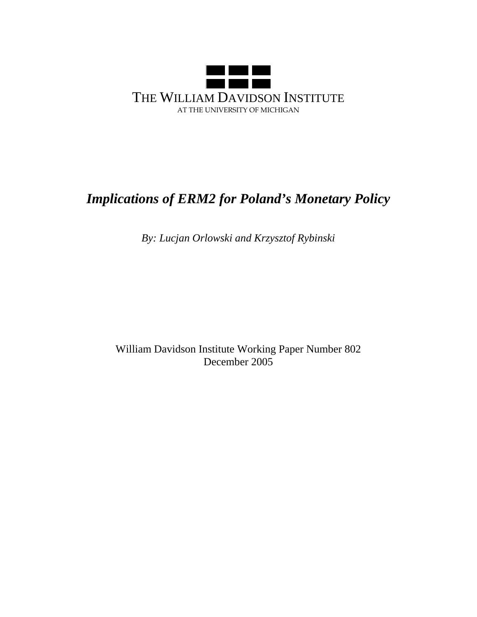

## *Implications of ERM2 for Poland's Monetary Policy*

*By: Lucjan Orlowski and Krzysztof Rybinski* 

William Davidson Institute Working Paper Number 802 December 2005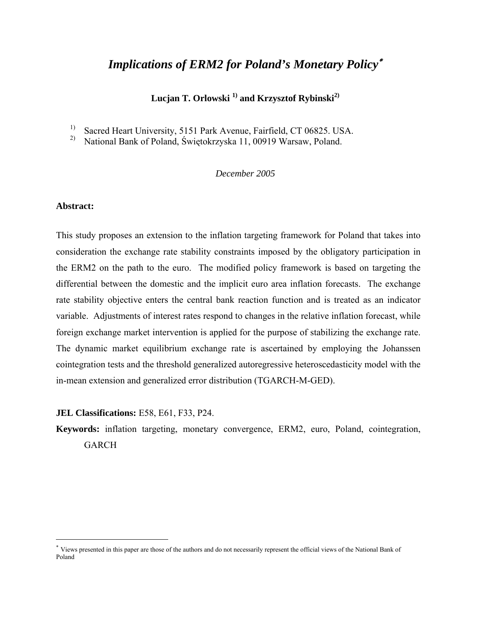## *Implications of ERM2 for Poland's Monetary Policy*<sup>∗</sup>

Lucjan T. Orlowski<sup>1)</sup> and Krzysztof Rybinski<sup>2)</sup>

<sup>1)</sup> Sacred Heart University, 5151 Park Avenue, Fairfield, CT 06825. USA.

2) National Bank of Poland, Świętokrzyska 11, 00919 Warsaw, Poland.

#### *December 2005*

#### **Abstract:**

 $\overline{a}$ 

This study proposes an extension to the inflation targeting framework for Poland that takes into consideration the exchange rate stability constraints imposed by the obligatory participation in the ERM2 on the path to the euro. The modified policy framework is based on targeting the differential between the domestic and the implicit euro area inflation forecasts. The exchange rate stability objective enters the central bank reaction function and is treated as an indicator variable. Adjustments of interest rates respond to changes in the relative inflation forecast, while foreign exchange market intervention is applied for the purpose of stabilizing the exchange rate. The dynamic market equilibrium exchange rate is ascertained by employing the Johanssen cointegration tests and the threshold generalized autoregressive heteroscedasticity model with the in-mean extension and generalized error distribution (TGARCH-M-GED).

#### **JEL Classifications:** E58, E61, F33, P24.

**Keywords:** inflation targeting, monetary convergence, ERM2, euro, Poland, cointegration, GARCH

<sup>∗</sup> Views presented in this paper are those of the authors and do not necessarily represent the official views of the National Bank of Poland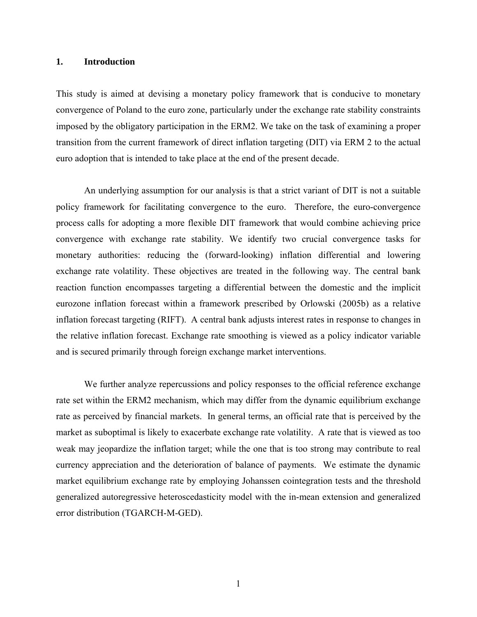#### **1. Introduction**

This study is aimed at devising a monetary policy framework that is conducive to monetary convergence of Poland to the euro zone, particularly under the exchange rate stability constraints imposed by the obligatory participation in the ERM2. We take on the task of examining a proper transition from the current framework of direct inflation targeting (DIT) via ERM 2 to the actual euro adoption that is intended to take place at the end of the present decade.

An underlying assumption for our analysis is that a strict variant of DIT is not a suitable policy framework for facilitating convergence to the euro. Therefore, the euro-convergence process calls for adopting a more flexible DIT framework that would combine achieving price convergence with exchange rate stability. We identify two crucial convergence tasks for monetary authorities: reducing the (forward-looking) inflation differential and lowering exchange rate volatility. These objectives are treated in the following way. The central bank reaction function encompasses targeting a differential between the domestic and the implicit eurozone inflation forecast within a framework prescribed by Orlowski (2005b) as a relative inflation forecast targeting (RIFT). A central bank adjusts interest rates in response to changes in the relative inflation forecast. Exchange rate smoothing is viewed as a policy indicator variable and is secured primarily through foreign exchange market interventions.

We further analyze repercussions and policy responses to the official reference exchange rate set within the ERM2 mechanism, which may differ from the dynamic equilibrium exchange rate as perceived by financial markets. In general terms, an official rate that is perceived by the market as suboptimal is likely to exacerbate exchange rate volatility. A rate that is viewed as too weak may jeopardize the inflation target; while the one that is too strong may contribute to real currency appreciation and the deterioration of balance of payments. We estimate the dynamic market equilibrium exchange rate by employing Johanssen cointegration tests and the threshold generalized autoregressive heteroscedasticity model with the in-mean extension and generalized error distribution (TGARCH-M-GED).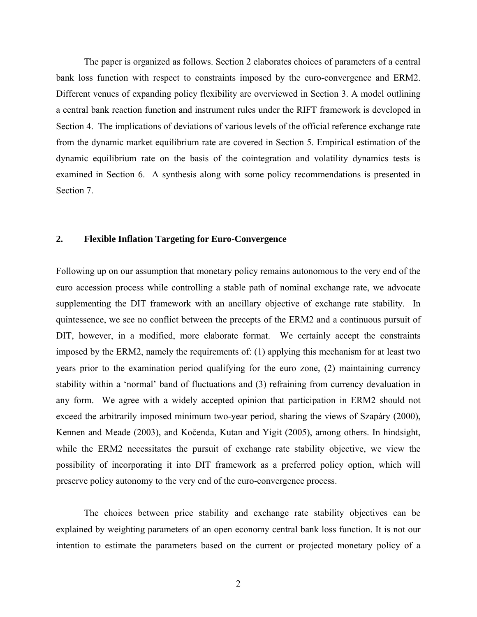The paper is organized as follows. Section 2 elaborates choices of parameters of a central bank loss function with respect to constraints imposed by the euro-convergence and ERM2. Different venues of expanding policy flexibility are overviewed in Section 3. A model outlining a central bank reaction function and instrument rules under the RIFT framework is developed in Section 4. The implications of deviations of various levels of the official reference exchange rate from the dynamic market equilibrium rate are covered in Section 5. Empirical estimation of the dynamic equilibrium rate on the basis of the cointegration and volatility dynamics tests is examined in Section 6. A synthesis along with some policy recommendations is presented in Section 7.

#### **2. Flexible Inflation Targeting for Euro-Convergence**

Following up on our assumption that monetary policy remains autonomous to the very end of the euro accession process while controlling a stable path of nominal exchange rate, we advocate supplementing the DIT framework with an ancillary objective of exchange rate stability. In quintessence, we see no conflict between the precepts of the ERM2 and a continuous pursuit of DIT, however, in a modified, more elaborate format. We certainly accept the constraints imposed by the ERM2, namely the requirements of: (1) applying this mechanism for at least two years prior to the examination period qualifying for the euro zone, (2) maintaining currency stability within a 'normal' band of fluctuations and (3) refraining from currency devaluation in any form. We agree with a widely accepted opinion that participation in ERM2 should not exceed the arbitrarily imposed minimum two-year period, sharing the views of Szapáry (2000), Kennen and Meade (2003), and Kočenda, Kutan and Yigit (2005), among others. In hindsight, while the ERM2 necessitates the pursuit of exchange rate stability objective, we view the possibility of incorporating it into DIT framework as a preferred policy option, which will preserve policy autonomy to the very end of the euro-convergence process.

The choices between price stability and exchange rate stability objectives can be explained by weighting parameters of an open economy central bank loss function. It is not our intention to estimate the parameters based on the current or projected monetary policy of a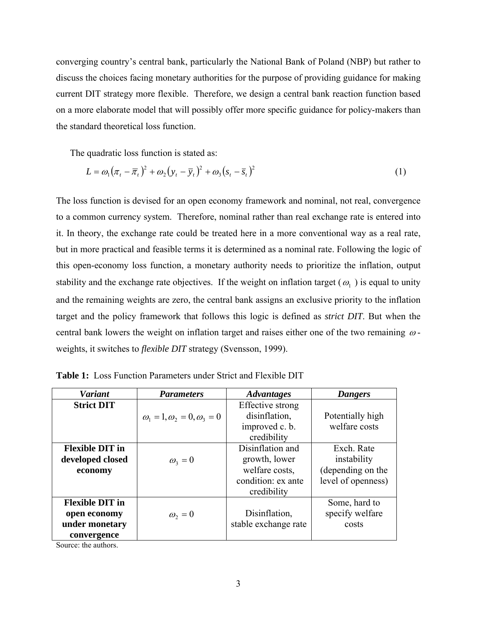converging country's central bank, particularly the National Bank of Poland (NBP) but rather to discuss the choices facing monetary authorities for the purpose of providing guidance for making current DIT strategy more flexible. Therefore, we design a central bank reaction function based on a more elaborate model that will possibly offer more specific guidance for policy-makers than the standard theoretical loss function.

The quadratic loss function is stated as:

$$
L = \omega_1 (\pi_t - \overline{\pi}_t)^2 + \omega_2 (y_t - \overline{y}_t)^2 + \omega_3 (s_t - \overline{s}_t)^2
$$
 (1)

The loss function is devised for an open economy framework and nominal, not real, convergence to a common currency system. Therefore, nominal rather than real exchange rate is entered into it. In theory, the exchange rate could be treated here in a more conventional way as a real rate, but in more practical and feasible terms it is determined as a nominal rate. Following the logic of this open-economy loss function, a monetary authority needs to prioritize the inflation, output stability and the exchange rate objectives. If the weight on inflation target ( $\omega_1$ ) is equal to unity and the remaining weights are zero, the central bank assigns an exclusive priority to the inflation target and the policy framework that follows this logic is defined as *strict DIT*. But when the central bank lowers the weight on inflation target and raises either one of the two remaining  $\omega$ weights, it switches to *flexible DIT* strategy (Svensson, 1999).

| <b>Variant</b>                                                          | <b>Parameters</b>                          | <b>Advantages</b>                                                                        | <b>Dangers</b>                                                       |
|-------------------------------------------------------------------------|--------------------------------------------|------------------------------------------------------------------------------------------|----------------------------------------------------------------------|
| <b>Strict DIT</b>                                                       | $\omega_1 = 1, \omega_2 = 0, \omega_3 = 0$ | Effective strong<br>disinflation,<br>improved c. b.<br>credibility                       | Potentially high<br>welfare costs                                    |
| <b>Flexible DIT in</b><br>developed closed<br>economy                   | $\omega_3=0$                               | Disinflation and<br>growth, lower<br>welfare costs,<br>condition: ex ante<br>credibility | Exch. Rate<br>instability<br>(depending on the<br>level of openness) |
| <b>Flexible DIT in</b><br>open economy<br>under monetary<br>convergence | $\omega_2=0$                               | Disinflation,<br>stable exchange rate                                                    | Some, hard to<br>specify welfare<br>costs                            |

**Table 1:** Loss Function Parameters under Strict and Flexible DIT

Source: the authors.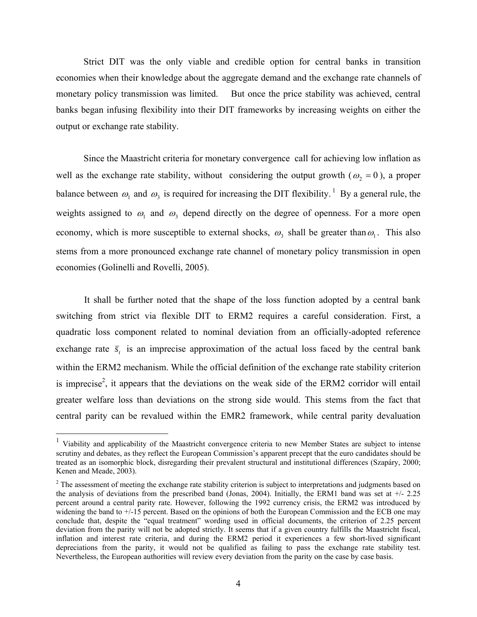Strict DIT was the only viable and credible option for central banks in transition economies when their knowledge about the aggregate demand and the exchange rate channels of monetary policy transmission was limited. But once the price stability was achieved, central banks began infusing flexibility into their DIT frameworks by increasing weights on either the output or exchange rate stability.

Since the Maastricht criteria for monetary convergence call for achieving low inflation as well as the exchange rate stability, without considering the output growth ( $\omega_2 = 0$ ), a proper balance between  $\omega_1$  and  $\omega_3$  is required for increasing the DIT flexibility.<sup>1</sup> By a general rule, the weights assigned to  $\omega_1$  and  $\omega_3$  depend directly on the degree of openness. For a more open economy, which is more susceptible to external shocks,  $\omega_3$  shall be greater than  $\omega_1$ . This also stems from a more pronounced exchange rate channel of monetary policy transmission in open economies (Golinelli and Rovelli, 2005).

 It shall be further noted that the shape of the loss function adopted by a central bank switching from strict via flexible DIT to ERM2 requires a careful consideration. First, a quadratic loss component related to nominal deviation from an officially-adopted reference exchange rate  $\bar{s}$ , is an imprecise approximation of the actual loss faced by the central bank within the ERM2 mechanism. While the official definition of the exchange rate stability criterion is imprecise<sup>2</sup>, it appears that the deviations on the weak side of the ERM2 corridor will entail greater welfare loss than deviations on the strong side would. This stems from the fact that central parity can be revalued within the EMR2 framework, while central parity devaluation

<sup>&</sup>lt;sup>1</sup> Viability and applicability of the Maastricht convergence criteria to new Member States are subject to intense scrutiny and debates, as they reflect the European Commission's apparent precept that the euro candidates should be treated as an isomorphic block, disregarding their prevalent structural and institutional differences (Szapáry, 2000; Kenen and Meade, 2003).

 $2<sup>2</sup>$  The assessment of meeting the exchange rate stability criterion is subject to interpretations and judgments based on the analysis of deviations from the prescribed band (Jonas, 2004). Initially, the ERM1 band was set at +/- 2.25 percent around a central parity rate. However, following the 1992 currency crisis, the ERM2 was introduced by widening the band to +/-15 percent. Based on the opinions of both the European Commission and the ECB one may conclude that, despite the "equal treatment" wording used in official documents, the criterion of 2.25 percent deviation from the parity will not be adopted strictly. It seems that if a given country fulfills the Maastricht fiscal, inflation and interest rate criteria, and during the ERM2 period it experiences a few short-lived significant depreciations from the parity, it would not be qualified as failing to pass the exchange rate stability test. Nevertheless, the European authorities will review every deviation from the parity on the case by case basis.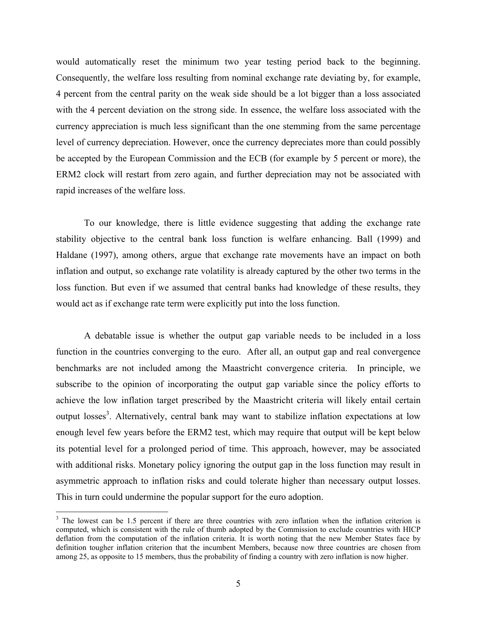would automatically reset the minimum two year testing period back to the beginning. Consequently, the welfare loss resulting from nominal exchange rate deviating by, for example, 4 percent from the central parity on the weak side should be a lot bigger than a loss associated with the 4 percent deviation on the strong side. In essence, the welfare loss associated with the currency appreciation is much less significant than the one stemming from the same percentage level of currency depreciation. However, once the currency depreciates more than could possibly be accepted by the European Commission and the ECB (for example by 5 percent or more), the ERM2 clock will restart from zero again, and further depreciation may not be associated with rapid increases of the welfare loss.

To our knowledge, there is little evidence suggesting that adding the exchange rate stability objective to the central bank loss function is welfare enhancing. Ball (1999) and Haldane (1997), among others, argue that exchange rate movements have an impact on both inflation and output, so exchange rate volatility is already captured by the other two terms in the loss function. But even if we assumed that central banks had knowledge of these results, they would act as if exchange rate term were explicitly put into the loss function.

A debatable issue is whether the output gap variable needs to be included in a loss function in the countries converging to the euro. After all, an output gap and real convergence benchmarks are not included among the Maastricht convergence criteria. In principle, we subscribe to the opinion of incorporating the output gap variable since the policy efforts to achieve the low inflation target prescribed by the Maastricht criteria will likely entail certain output losses<sup>3</sup>. Alternatively, central bank may want to stabilize inflation expectations at low enough level few years before the ERM2 test, which may require that output will be kept below its potential level for a prolonged period of time. This approach, however, may be associated with additional risks. Monetary policy ignoring the output gap in the loss function may result in asymmetric approach to inflation risks and could tolerate higher than necessary output losses. This in turn could undermine the popular support for the euro adoption.

 $3$  The lowest can be 1.5 percent if there are three countries with zero inflation when the inflation criterion is computed, which is consistent with the rule of thumb adopted by the Commission to exclude countries with HICP deflation from the computation of the inflation criteria. It is worth noting that the new Member States face by definition tougher inflation criterion that the incumbent Members, because now three countries are chosen from among 25, as opposite to 15 members, thus the probability of finding a country with zero inflation is now higher.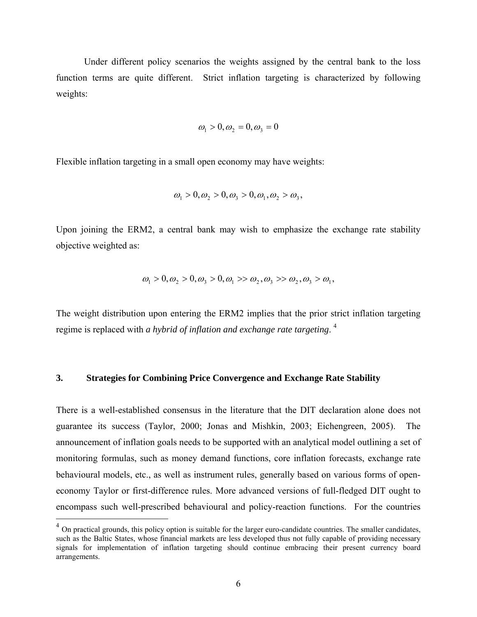Under different policy scenarios the weights assigned by the central bank to the loss function terms are quite different. Strict inflation targeting is characterized by following weights:

$$
\omega_1 > 0, \omega_2 = 0, \omega_3 = 0
$$

Flexible inflation targeting in a small open economy may have weights:

$$
\omega_1 > 0, \omega_2 > 0, \omega_3 > 0, \omega_1, \omega_2 > \omega_3,
$$

Upon joining the ERM2, a central bank may wish to emphasize the exchange rate stability objective weighted as:

$$
\omega_1 > 0, \omega_2 > 0, \omega_3 > 0, \omega_1 > \omega_2, \omega_3 > \omega_2, \omega_3 > \omega_1,
$$

The weight distribution upon entering the ERM2 implies that the prior strict inflation targeting regime is replaced with *a hybrid of inflation and exchange rate targeting*. 4

#### **3. Strategies for Combining Price Convergence and Exchange Rate Stability**

There is a well-established consensus in the literature that the DIT declaration alone does not guarantee its success (Taylor, 2000; Jonas and Mishkin, 2003; Eichengreen, 2005). The announcement of inflation goals needs to be supported with an analytical model outlining a set of monitoring formulas, such as money demand functions, core inflation forecasts, exchange rate behavioural models, etc., as well as instrument rules, generally based on various forms of openeconomy Taylor or first-difference rules. More advanced versions of full-fledged DIT ought to encompass such well-prescribed behavioural and policy-reaction functions. For the countries

 $<sup>4</sup>$  On practical grounds, this policy option is suitable for the larger euro-candidate countries. The smaller candidates,</sup> such as the Baltic States, whose financial markets are less developed thus not fully capable of providing necessary signals for implementation of inflation targeting should continue embracing their present currency board arrangements.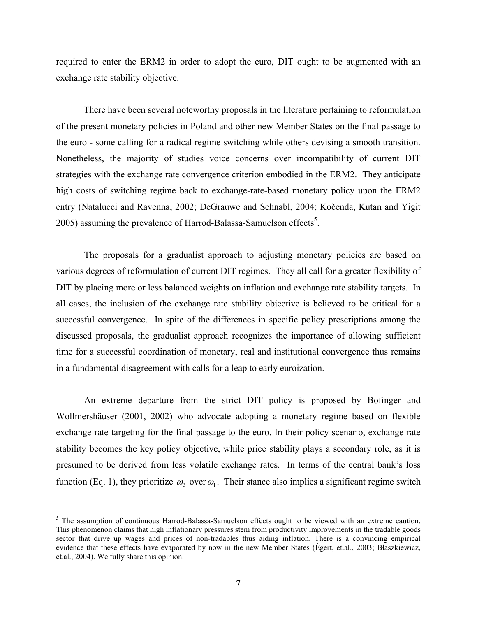required to enter the ERM2 in order to adopt the euro, DIT ought to be augmented with an exchange rate stability objective.

There have been several noteworthy proposals in the literature pertaining to reformulation of the present monetary policies in Poland and other new Member States on the final passage to the euro - some calling for a radical regime switching while others devising a smooth transition. Nonetheless, the majority of studies voice concerns over incompatibility of current DIT strategies with the exchange rate convergence criterion embodied in the ERM2. They anticipate high costs of switching regime back to exchange-rate-based monetary policy upon the ERM2 entry (Natalucci and Ravenna, 2002; DeGrauwe and Schnabl, 2004; Kočenda, Kutan and Yigit 2005) assuming the prevalence of Harrod-Balassa-Samuelson effects<sup>5</sup>.

The proposals for a gradualist approach to adjusting monetary policies are based on various degrees of reformulation of current DIT regimes. They all call for a greater flexibility of DIT by placing more or less balanced weights on inflation and exchange rate stability targets. In all cases, the inclusion of the exchange rate stability objective is believed to be critical for a successful convergence. In spite of the differences in specific policy prescriptions among the discussed proposals, the gradualist approach recognizes the importance of allowing sufficient time for a successful coordination of monetary, real and institutional convergence thus remains in a fundamental disagreement with calls for a leap to early euroization.

An extreme departure from the strict DIT policy is proposed by Bofinger and Wollmershäuser (2001, 2002) who advocate adopting a monetary regime based on flexible exchange rate targeting for the final passage to the euro. In their policy scenario, exchange rate stability becomes the key policy objective, while price stability plays a secondary role, as it is presumed to be derived from less volatile exchange rates. In terms of the central bank's loss function (Eq. 1), they prioritize  $\omega_3$  over  $\omega_1$ . Their stance also implies a significant regime switch

<sup>&</sup>lt;sup>5</sup> The assumption of continuous Harrod-Balassa-Samuelson effects ought to be viewed with an extreme caution. This phenomenon claims that high inflationary pressures stem from productivity improvements in the tradable goods sector that drive up wages and prices of non-tradables thus aiding inflation. There is a convincing empirical evidence that these effects have evaporated by now in the new Member States (Égert, et.al., 2003; Błaszkiewicz, et.al., 2004). We fully share this opinion.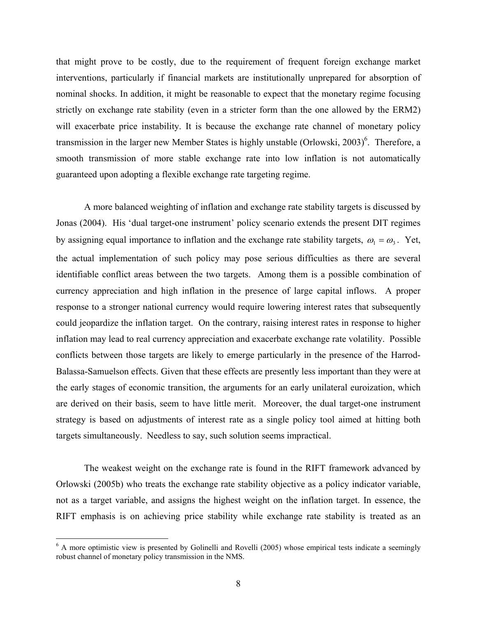that might prove to be costly, due to the requirement of frequent foreign exchange market interventions, particularly if financial markets are institutionally unprepared for absorption of nominal shocks. In addition, it might be reasonable to expect that the monetary regime focusing strictly on exchange rate stability (even in a stricter form than the one allowed by the ERM2) will exacerbate price instability. It is because the exchange rate channel of monetary policy transmission in the larger new Member States is highly unstable (Orlowski, 2003)<sup>6</sup>. Therefore, a smooth transmission of more stable exchange rate into low inflation is not automatically guaranteed upon adopting a flexible exchange rate targeting regime.

A more balanced weighting of inflation and exchange rate stability targets is discussed by Jonas (2004). His 'dual target-one instrument' policy scenario extends the present DIT regimes by assigning equal importance to inflation and the exchange rate stability targets,  $\omega_1 = \omega_3$ . Yet, the actual implementation of such policy may pose serious difficulties as there are several identifiable conflict areas between the two targets. Among them is a possible combination of currency appreciation and high inflation in the presence of large capital inflows. A proper response to a stronger national currency would require lowering interest rates that subsequently could jeopardize the inflation target. On the contrary, raising interest rates in response to higher inflation may lead to real currency appreciation and exacerbate exchange rate volatility. Possible conflicts between those targets are likely to emerge particularly in the presence of the Harrod-Balassa-Samuelson effects. Given that these effects are presently less important than they were at the early stages of economic transition, the arguments for an early unilateral euroization, which are derived on their basis, seem to have little merit. Moreover, the dual target-one instrument strategy is based on adjustments of interest rate as a single policy tool aimed at hitting both targets simultaneously. Needless to say, such solution seems impractical.

The weakest weight on the exchange rate is found in the RIFT framework advanced by Orlowski (2005b) who treats the exchange rate stability objective as a policy indicator variable, not as a target variable, and assigns the highest weight on the inflation target. In essence, the RIFT emphasis is on achieving price stability while exchange rate stability is treated as an

1

<sup>&</sup>lt;sup>6</sup> A more optimistic view is presented by Golinelli and Rovelli (2005) whose empirical tests indicate a seemingly robust channel of monetary policy transmission in the NMS.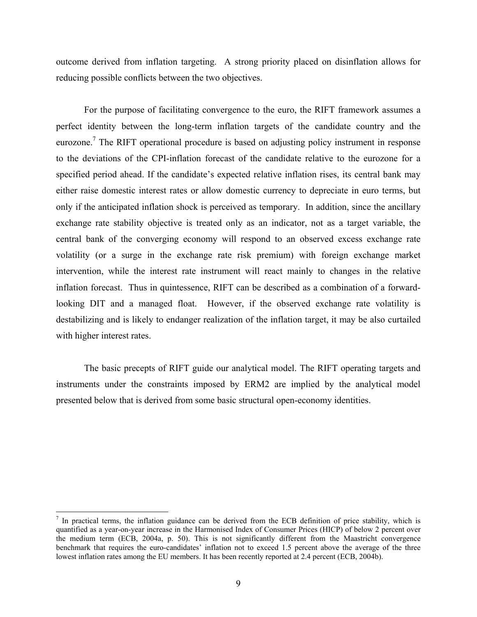outcome derived from inflation targeting. A strong priority placed on disinflation allows for reducing possible conflicts between the two objectives.

For the purpose of facilitating convergence to the euro, the RIFT framework assumes a perfect identity between the long-term inflation targets of the candidate country and the eurozone.<sup>7</sup> The RIFT operational procedure is based on adjusting policy instrument in response to the deviations of the CPI-inflation forecast of the candidate relative to the eurozone for a specified period ahead. If the candidate's expected relative inflation rises, its central bank may either raise domestic interest rates or allow domestic currency to depreciate in euro terms, but only if the anticipated inflation shock is perceived as temporary. In addition, since the ancillary exchange rate stability objective is treated only as an indicator, not as a target variable, the central bank of the converging economy will respond to an observed excess exchange rate volatility (or a surge in the exchange rate risk premium) with foreign exchange market intervention, while the interest rate instrument will react mainly to changes in the relative inflation forecast. Thus in quintessence, RIFT can be described as a combination of a forwardlooking DIT and a managed float. However, if the observed exchange rate volatility is destabilizing and is likely to endanger realization of the inflation target, it may be also curtailed with higher interest rates.

The basic precepts of RIFT guide our analytical model. The RIFT operating targets and instruments under the constraints imposed by ERM2 are implied by the analytical model presented below that is derived from some basic structural open-economy identities.

1

 $<sup>7</sup>$  In practical terms, the inflation guidance can be derived from the ECB definition of price stability, which is</sup> quantified as a year-on-year increase in the Harmonised Index of Consumer Prices (HICP) of below 2 percent over the medium term (ECB, 2004a, p. 50). This is not significantly different from the Maastricht convergence benchmark that requires the euro-candidates' inflation not to exceed 1.5 percent above the average of the three lowest inflation rates among the EU members. It has been recently reported at 2.4 percent (ECB, 2004b).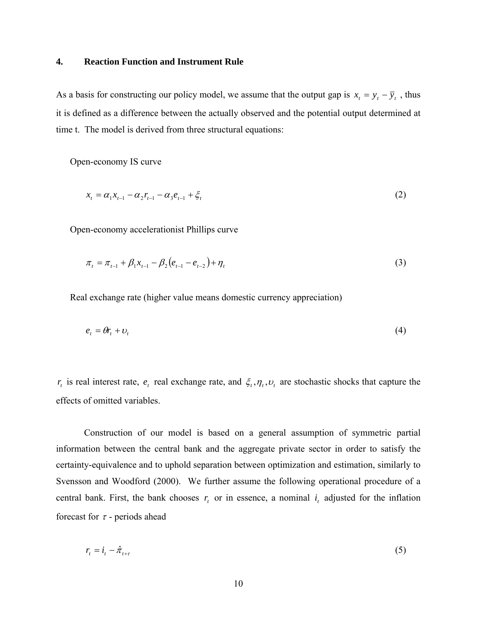#### **4. Reaction Function and Instrument Rule**

As a basis for constructing our policy model, we assume that the output gap is  $x_t = y_t - \overline{y}_t$ , thus it is defined as a difference between the actually observed and the potential output determined at time t. The model is derived from three structural equations:

Open-economy IS curve

$$
x_{t} = \alpha_{1}x_{t-1} - \alpha_{2}r_{t-1} - \alpha_{3}e_{t-1} + \xi_{t}
$$
\n(2)

Open-economy accelerationist Phillips curve

$$
\pi_{t} = \pi_{t-1} + \beta_{1} x_{t-1} - \beta_{2} (e_{t-1} - e_{t-2}) + \eta_{t}
$$
\n(3)

Real exchange rate (higher value means domestic currency appreciation)

$$
e_t = \theta r_t + v_t \tag{4}
$$

*r*<sub>*t*</sub> is real interest rate, *e*<sub>*t*</sub> real exchange rate, and  $\xi$ ,  $\eta$ ,  $\nu$ <sub>*t*</sub> are stochastic shocks that capture the effects of omitted variables.

Construction of our model is based on a general assumption of symmetric partial information between the central bank and the aggregate private sector in order to satisfy the certainty-equivalence and to uphold separation between optimization and estimation, similarly to Svensson and Woodford (2000). We further assume the following operational procedure of a central bank. First, the bank chooses  $r<sub>i</sub>$  or in essence, a nominal  $i<sub>i</sub>$  adjusted for the inflation forecast for  $\tau$  - periods ahead

$$
r_{t} = i_{t} - \hat{\pi}_{t+\tau} \tag{5}
$$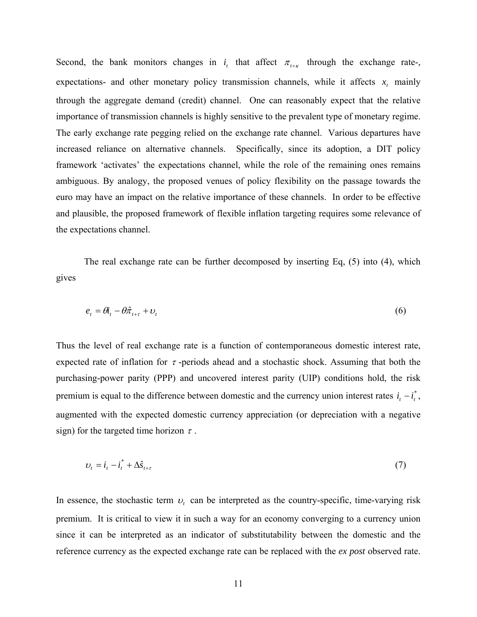Second, the bank monitors changes in  $i_t$  that affect  $\pi_{t+\kappa}$  through the exchange rate-, expectations- and other monetary policy transmission channels, while it affects  $x_t$  mainly through the aggregate demand (credit) channel. One can reasonably expect that the relative importance of transmission channels is highly sensitive to the prevalent type of monetary regime. The early exchange rate pegging relied on the exchange rate channel. Various departures have increased reliance on alternative channels. Specifically, since its adoption, a DIT policy framework 'activates' the expectations channel, while the role of the remaining ones remains ambiguous. By analogy, the proposed venues of policy flexibility on the passage towards the euro may have an impact on the relative importance of these channels. In order to be effective and plausible, the proposed framework of flexible inflation targeting requires some relevance of the expectations channel.

The real exchange rate can be further decomposed by inserting Eq, (5) into (4), which gives

$$
e_t = \theta_t - \theta \hat{\pi}_{t+\tau} + \nu_t \tag{6}
$$

Thus the level of real exchange rate is a function of contemporaneous domestic interest rate, expected rate of inflation for  $\tau$ -periods ahead and a stochastic shock. Assuming that both the purchasing-power parity (PPP) and uncovered interest parity (UIP) conditions hold, the risk premium is equal to the difference between domestic and the currency union interest rates  $i_t - i_t^*$ , augmented with the expected domestic currency appreciation (or depreciation with a negative sign) for the targeted time horizon  $\tau$ .

$$
U_t = \dot{t}_t - \dot{t}_t^* + \Delta \hat{S}_{t+\tau} \tag{7}
$$

In essence, the stochastic term  $v_t$  can be interpreted as the country-specific, time-varying risk premium. It is critical to view it in such a way for an economy converging to a currency union since it can be interpreted as an indicator of substitutability between the domestic and the reference currency as the expected exchange rate can be replaced with the *ex post* observed rate.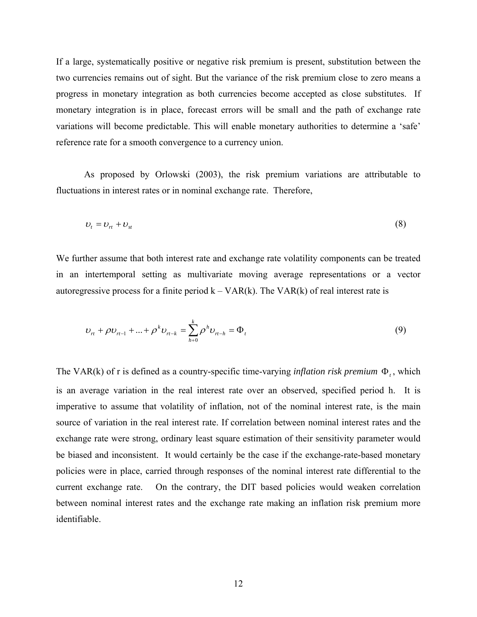If a large, systematically positive or negative risk premium is present, substitution between the two currencies remains out of sight. But the variance of the risk premium close to zero means a progress in monetary integration as both currencies become accepted as close substitutes. If monetary integration is in place, forecast errors will be small and the path of exchange rate variations will become predictable. This will enable monetary authorities to determine a 'safe' reference rate for a smooth convergence to a currency union.

 As proposed by Orlowski (2003), the risk premium variations are attributable to fluctuations in interest rates or in nominal exchange rate. Therefore,

$$
U_t = U_{rt} + U_{st} \tag{8}
$$

We further assume that both interest rate and exchange rate volatility components can be treated in an intertemporal setting as multivariate moving average representations or a vector autoregressive process for a finite period  $k - VAR(k)$ . The VAR $(k)$  of real interest rate is

$$
v_{n} + \rho v_{n-1} + ... + \rho^{k} v_{n-k} = \sum_{h=0}^{k} \rho^{h} v_{n-h} = \Phi_{t}
$$
\n(9)

The VAR(k) of r is defined as a country-specific time-varying *inflation risk premium*  $\Phi_t$ , which is an average variation in the real interest rate over an observed, specified period h. It is imperative to assume that volatility of inflation, not of the nominal interest rate, is the main source of variation in the real interest rate. If correlation between nominal interest rates and the exchange rate were strong, ordinary least square estimation of their sensitivity parameter would be biased and inconsistent. It would certainly be the case if the exchange-rate-based monetary policies were in place, carried through responses of the nominal interest rate differential to the current exchange rate. On the contrary, the DIT based policies would weaken correlation between nominal interest rates and the exchange rate making an inflation risk premium more identifiable.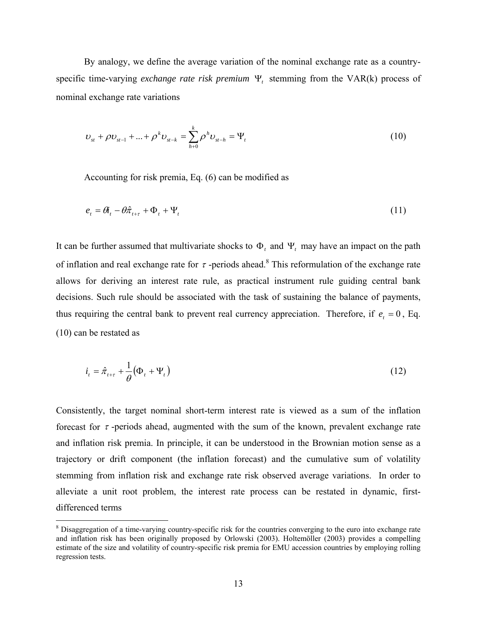By analogy, we define the average variation of the nominal exchange rate as a countryspecific time-varying *exchange rate risk premium* Ψ*t* stemming from the VAR(k) process of nominal exchange rate variations

$$
v_{st} + \rho v_{st-1} + ... + \rho^k v_{st-k} = \sum_{h=0}^k \rho^h v_{st-h} = \Psi_t
$$
\n(10)

Accounting for risk premia, Eq. (6) can be modified as

$$
e_t = \theta_t - \theta \hat{\pi}_{t+\tau} + \Phi_t + \Psi_t \tag{11}
$$

It can be further assumed that multivariate shocks to  $\Phi$ , and  $\Psi$ , may have an impact on the path of inflation and real exchange rate for  $\tau$ -periods ahead.<sup>8</sup> This reformulation of the exchange rate allows for deriving an interest rate rule, as practical instrument rule guiding central bank decisions. Such rule should be associated with the task of sustaining the balance of payments, thus requiring the central bank to prevent real currency appreciation. Therefore, if  $e_t = 0$ , Eq. (10) can be restated as

$$
i_t = \hat{\pi}_{t+\tau} + \frac{1}{\theta} \left( \Phi_t + \Psi_t \right) \tag{12}
$$

Consistently, the target nominal short-term interest rate is viewed as a sum of the inflation forecast for  $\tau$ -periods ahead, augmented with the sum of the known, prevalent exchange rate and inflation risk premia. In principle, it can be understood in the Brownian motion sense as a trajectory or drift component (the inflation forecast) and the cumulative sum of volatility stemming from inflation risk and exchange rate risk observed average variations. In order to alleviate a unit root problem, the interest rate process can be restated in dynamic, firstdifferenced terms

<sup>&</sup>lt;sup>8</sup> Disaggregation of a time-varying country-specific risk for the countries converging to the euro into exchange rate and inflation risk has been originally proposed by Orlowski (2003). Holtemöller (2003) provides a compelling estimate of the size and volatility of country-specific risk premia for EMU accession countries by employing rolling regression tests.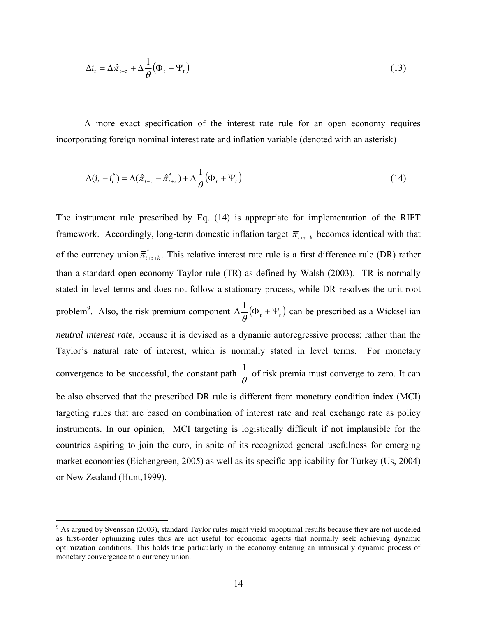$$
\Delta i_t = \Delta \hat{\pi}_{t+\tau} + \Delta \frac{1}{\theta} (\Phi_t + \Psi_t)
$$
\n(13)

A more exact specification of the interest rate rule for an open economy requires incorporating foreign nominal interest rate and inflation variable (denoted with an asterisk)

$$
\Delta(i_t - i_t^*) = \Delta(\hat{\pi}_{t+\tau} - \hat{\pi}_{t+\tau}^*) + \Delta \frac{1}{\theta} (\Phi_t + \Psi_t)
$$
\n(14)

The instrument rule prescribed by Eq. (14) is appropriate for implementation of the RIFT framework. Accordingly, long-term domestic inflation target  $\overline{\pi}_{t+\tau+k}$  becomes identical with that of the currency union  $\overline{\pi}_{t+\tau+k}^*$ . This relative interest rate rule is a first difference rule (DR) rather than a standard open-economy Taylor rule (TR) as defined by Walsh (2003). TR is normally stated in level terms and does not follow a stationary process, while DR resolves the unit root problem<sup>9</sup>. Also, the risk premium component  $\Delta \frac{1}{\theta}(\Phi_t + \Psi_t)$  can be prescribed as a Wicksellian *neutral interest rate,* because it is devised as a dynamic autoregressive process; rather than the Taylor's natural rate of interest, which is normally stated in level terms. For monetary convergence to be successful, the constant path  $\frac{1}{\theta}$  of risk premia must converge to zero. It can be also observed that the prescribed DR rule is different from monetary condition index (MCI) targeting rules that are based on combination of interest rate and real exchange rate as policy instruments. In our opinion, MCI targeting is logistically difficult if not implausible for the countries aspiring to join the euro, in spite of its recognized general usefulness for emerging market economies (Eichengreen, 2005) as well as its specific applicability for Turkey (Us, 2004) or New Zealand (Hunt,1999).

<sup>&</sup>lt;sup>9</sup> As argued by Svensson (2003), standard Taylor rules might yield suboptimal results because they are not modeled as first-order optimizing rules thus are not useful for economic agents that normally seek achieving dynamic optimization conditions. This holds true particularly in the economy entering an intrinsically dynamic process of monetary convergence to a currency union.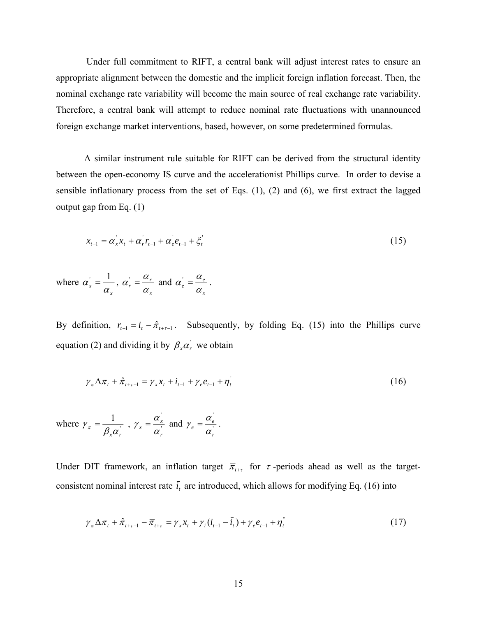Under full commitment to RIFT, a central bank will adjust interest rates to ensure an appropriate alignment between the domestic and the implicit foreign inflation forecast. Then, the nominal exchange rate variability will become the main source of real exchange rate variability. Therefore, a central bank will attempt to reduce nominal rate fluctuations with unannounced foreign exchange market interventions, based, however, on some predetermined formulas.

A similar instrument rule suitable for RIFT can be derived from the structural identity between the open-economy IS curve and the accelerationist Phillips curve. In order to devise a sensible inflationary process from the set of Eqs. (1), (2) and (6), we first extract the lagged output gap from Eq.  $(1)$ 

$$
x_{t-1} = \alpha_x x_t + \alpha_r r_{t-1} + \alpha_e e_{t-1} + \xi_t'
$$
 (15)

where  $\alpha'_x = \frac{1}{\alpha_x},$ *x*  $r' = \frac{a_r}{\alpha}$  $\alpha_r = \frac{\alpha_r}{\alpha_r}$  and *x*  $\frac{d}{e} = \frac{a}{\alpha}$  $\alpha_{e}^{'} = \frac{\alpha_{e}}{r}$ .

By definition,  $r_{t-1} = i_t - \hat{\pi}_{t+\tau-1}$ . Subsequently, by folding Eq. (15) into the Phillips curve equation (2) and dividing it by  $\beta_x \alpha'_r$  we obtain

$$
\gamma_{\pi} \Delta \pi_{t} + \hat{\pi}_{t+\tau-1} = \gamma_{x} x_{t} + i_{t-1} + \gamma_{e} e_{t-1} + \eta_{t} \tag{16}
$$

where  $\gamma_{\pi} = \frac{1}{\sqrt{2\pi}}$ 1  $\beta_{\textit{\tiny X}}\alpha_{\textit{\tiny r}}$  $\gamma_{\pi} = \frac{1}{\rho_{\pi} y}$ ,  $\gamma_{\pi} = \frac{\alpha_{\pi}}{y}$ ' *r*  $\alpha_x = \frac{a_x}{a_x}$  $\gamma_x = \frac{\alpha_x}{\alpha}$  and  $\gamma_e = \frac{\alpha_e}{\alpha}$ ' *r*  $e = \frac{a_e}{\alpha}$  $\gamma_e = \frac{\alpha_e}{\alpha}$ .

Under DIT framework, an inflation target  $\overline{\pi}_{t+\tau}$  for  $\tau$ -periods ahead as well as the targetconsistent nominal interest rate  $\bar{i}_t$  are introduced, which allows for modifying Eq. (16) into

$$
\gamma_{\pi} \Delta \pi_{t} + \hat{\pi}_{t+\tau-1} - \overline{\pi}_{t+\tau} = \gamma_{x} x_{t} + \gamma_{i} (\dot{i}_{t-1} - \overline{\dot{i}}_{t}) + \gamma_{e} e_{t-1} + \eta_{t}^{\top}
$$
\n(17)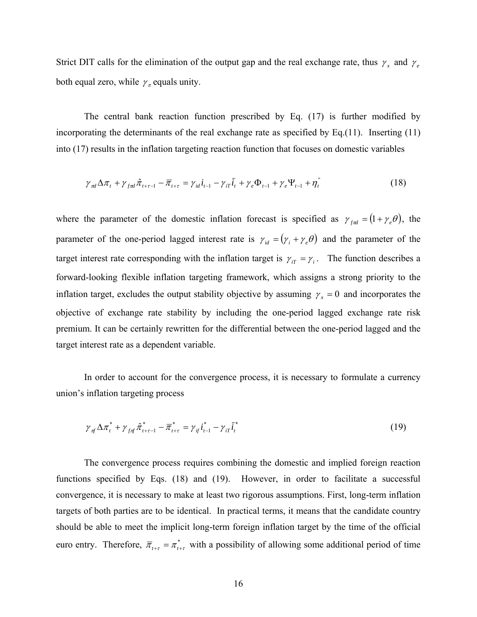Strict DIT calls for the elimination of the output gap and the real exchange rate, thus  $\gamma_x$  and  $\gamma_e$ both equal zero, while  $\gamma_{\pi}$  equals unity.

The central bank reaction function prescribed by Eq. (17) is further modified by incorporating the determinants of the real exchange rate as specified by Eq.(11). Inserting (11) into (17) results in the inflation targeting reaction function that focuses on domestic variables

$$
\gamma_{\pi d} \Delta \pi_t + \gamma_{\text{rad}} \hat{\pi}_{t+\tau-1} - \overline{\pi}_{t+\tau} = \gamma_{id} i_{t-1} - \gamma_{iT} \overline{i}_t + \gamma_e \Phi_{t-1} + \gamma_e \Psi_{t-1} + \eta_t^{\text{''}} \tag{18}
$$

where the parameter of the domestic inflation forecast is specified as  $\gamma_{f\pi d} = (1 + \gamma_e \theta)$ , the parameter of the one-period lagged interest rate is  $\gamma_{id} = (\gamma_i + \gamma_e \theta)$  and the parameter of the target interest rate corresponding with the inflation target is  $\gamma_{iT} = \gamma_i$ . The function describes a forward-looking flexible inflation targeting framework, which assigns a strong priority to the inflation target, excludes the output stability objective by assuming  $\gamma_x = 0$  and incorporates the objective of exchange rate stability by including the one-period lagged exchange rate risk premium. It can be certainly rewritten for the differential between the one-period lagged and the target interest rate as a dependent variable.

In order to account for the convergence process, it is necessary to formulate a currency union's inflation targeting process

$$
\gamma_{\pi} \Delta \pi_i^* + \gamma_{f \pi} \hat{\pi}_{t+\tau-1}^* - \overline{\pi}_{t+\tau}^* = \gamma_{i\bar{t}} i_{t-1}^* - \gamma_{i\bar{t}} \overline{i}_t^* \tag{19}
$$

The convergence process requires combining the domestic and implied foreign reaction functions specified by Eqs. (18) and (19). However, in order to facilitate a successful convergence, it is necessary to make at least two rigorous assumptions. First, long-term inflation targets of both parties are to be identical. In practical terms, it means that the candidate country should be able to meet the implicit long-term foreign inflation target by the time of the official euro entry. Therefore,  $\overline{\pi}_{t+\tau} = \pi_{t+\tau}^*$  with a possibility of allowing some additional period of time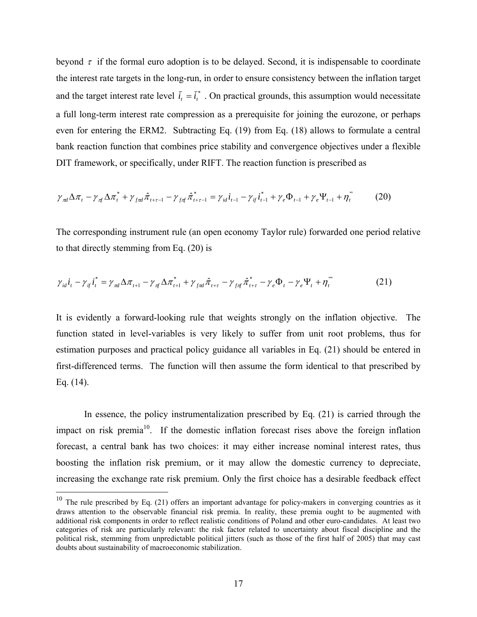beyond  $\tau$  if the formal euro adoption is to be delayed. Second, it is indispensable to coordinate the interest rate targets in the long-run, in order to ensure consistency between the inflation target and the target interest rate level  $\bar{i}_t = \bar{i}_t^*$ . On practical grounds, this assumption would necessitate a full long-term interest rate compression as a prerequisite for joining the eurozone, or perhaps even for entering the ERM2. Subtracting Eq. (19) from Eq. (18) allows to formulate a central bank reaction function that combines price stability and convergence objectives under a flexible DIT framework, or specifically, under RIFT. The reaction function is prescribed as

$$
\gamma_{\rm rad} \Delta \pi_t - \gamma_{\rm rf} \Delta \pi_t^* + \gamma_{\rm frad} \hat{\pi}_{t+\tau-1} - \gamma_{\rm fdf} \hat{\pi}_{t+\tau-1}^* = \gamma_{\rm id} i_{t-1} - \gamma_{\rm if} i_{t-1}^* + \gamma_e \Phi_{t-1} + \gamma_e \Psi_{t-1} + \eta_t^{\rm \, \cdots \, \, (20)}
$$

The corresponding instrument rule (an open economy Taylor rule) forwarded one period relative to that directly stemming from Eq. (20) is

$$
\gamma_{id} i_t - \gamma_{if} i_t^* = \gamma_{nd} \Delta \pi_{t+1} - \gamma_{nf} \Delta \pi_{t+1}^* + \gamma_{fnd} \hat{\pi}_{t+\tau} - \gamma_{f\pi} \hat{\pi}_{t+\tau}^* - \gamma_e \Phi_t - \gamma_e \Psi_t + \eta_t^{\text{}} \tag{21}
$$

It is evidently a forward-looking rule that weights strongly on the inflation objective. The function stated in level-variables is very likely to suffer from unit root problems, thus for estimation purposes and practical policy guidance all variables in Eq. (21) should be entered in first-differenced terms. The function will then assume the form identical to that prescribed by Eq. (14).

In essence, the policy instrumentalization prescribed by Eq. (21) is carried through the impact on risk premia<sup>10</sup>. If the domestic inflation forecast rises above the foreign inflation forecast, a central bank has two choices: it may either increase nominal interest rates, thus boosting the inflation risk premium, or it may allow the domestic currency to depreciate, increasing the exchange rate risk premium. Only the first choice has a desirable feedback effect

 $10$  The rule prescribed by Eq. (21) offers an important advantage for policy-makers in converging countries as it draws attention to the observable financial risk premia. In reality, these premia ought to be augmented with additional risk components in order to reflect realistic conditions of Poland and other euro-candidates. At least two categories of risk are particularly relevant: the risk factor related to uncertainty about fiscal discipline and the political risk, stemming from unpredictable political jitters (such as those of the first half of 2005) that may cast doubts about sustainability of macroeconomic stabilization.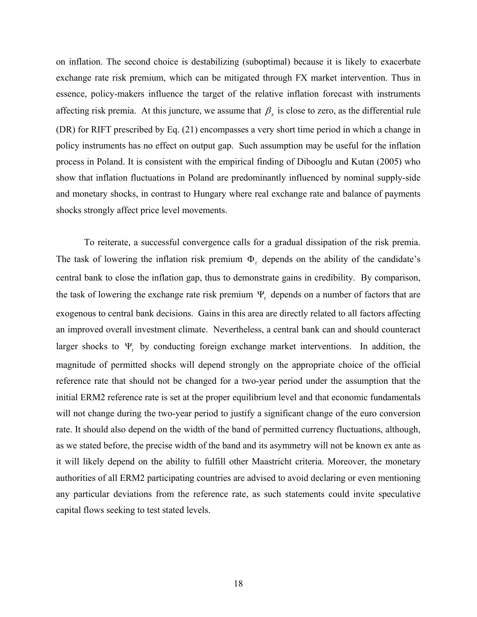on inflation. The second choice is destabilizing (suboptimal) because it is likely to exacerbate exchange rate risk premium, which can be mitigated through FX market intervention. Thus in essence, policy-makers influence the target of the relative inflation forecast with instruments affecting risk premia. At this juncture, we assume that  $\beta_x$  is close to zero, as the differential rule (DR) for RIFT prescribed by Eq. (21) encompasses a very short time period in which a change in policy instruments has no effect on output gap. Such assumption may be useful for the inflation process in Poland. It is consistent with the empirical finding of Dibooglu and Kutan (2005) who show that inflation fluctuations in Poland are predominantly influenced by nominal supply-side and monetary shocks, in contrast to Hungary where real exchange rate and balance of payments shocks strongly affect price level movements.

To reiterate, a successful convergence calls for a gradual dissipation of the risk premia. The task of lowering the inflation risk premium  $\Phi_t$  depends on the ability of the candidate's central bank to close the inflation gap, thus to demonstrate gains in credibility. By comparison, the task of lowering the exchange rate risk premium Ψ*t* depends on a number of factors that are exogenous to central bank decisions. Gains in this area are directly related to all factors affecting an improved overall investment climate. Nevertheless, a central bank can and should counteract larger shocks to Ψ*t* by conducting foreign exchange market interventions. In addition, the magnitude of permitted shocks will depend strongly on the appropriate choice of the official reference rate that should not be changed for a two-year period under the assumption that the initial ERM2 reference rate is set at the proper equilibrium level and that economic fundamentals will not change during the two-year period to justify a significant change of the euro conversion rate. It should also depend on the width of the band of permitted currency fluctuations, although, as we stated before, the precise width of the band and its asymmetry will not be known ex ante as it will likely depend on the ability to fulfill other Maastricht criteria. Moreover, the monetary authorities of all ERM2 participating countries are advised to avoid declaring or even mentioning any particular deviations from the reference rate, as such statements could invite speculative capital flows seeking to test stated levels.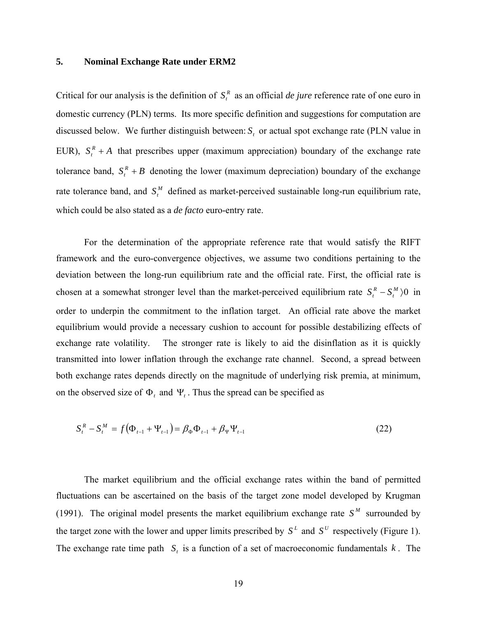#### **5. Nominal Exchange Rate under ERM2**

Critical for our analysis is the definition of  $S<sub>i</sub><sup>R</sup>$  as an official *de jure* reference rate of one euro in domestic currency (PLN) terms. Its more specific definition and suggestions for computation are discussed below. We further distinguish between: *S*<sub>*r*</sub> or actual spot exchange rate (PLN value in EUR),  $S_t^R + A$  that prescribes upper (maximum appreciation) boundary of the exchange rate tolerance band,  $S_t^R + B$  denoting the lower (maximum depreciation) boundary of the exchange rate tolerance band, and  $S_t^M$  defined as market-perceived sustainable long-run equilibrium rate, which could be also stated as a *de facto* euro-entry rate.

For the determination of the appropriate reference rate that would satisfy the RIFT framework and the euro-convergence objectives, we assume two conditions pertaining to the deviation between the long-run equilibrium rate and the official rate. First, the official rate is chosen at a somewhat stronger level than the market-perceived equilibrium rate  $S_t^R - S_t^M$ )0 in order to underpin the commitment to the inflation target. An official rate above the market equilibrium would provide a necessary cushion to account for possible destabilizing effects of exchange rate volatility. The stronger rate is likely to aid the disinflation as it is quickly transmitted into lower inflation through the exchange rate channel. Second, a spread between both exchange rates depends directly on the magnitude of underlying risk premia, at minimum, on the observed size of  $\Phi_t$  and  $\Psi_t$ . Thus the spread can be specified as

$$
S_t^R - S_t^M = f(\Phi_{t-1} + \Psi_{t-1}) = \beta_\Phi \Phi_{t-1} + \beta_\Psi \Psi_{t-1}
$$
\n(22)

The market equilibrium and the official exchange rates within the band of permitted fluctuations can be ascertained on the basis of the target zone model developed by Krugman (1991). The original model presents the market equilibrium exchange rate  $S<sup>M</sup>$  surrounded by the target zone with the lower and upper limits prescribed by  $S<sup>L</sup>$  and  $S<sup>U</sup>$  respectively (Figure 1). The exchange rate time path  $S_t$  is a function of a set of macroeconomic fundamentals  $k$ . The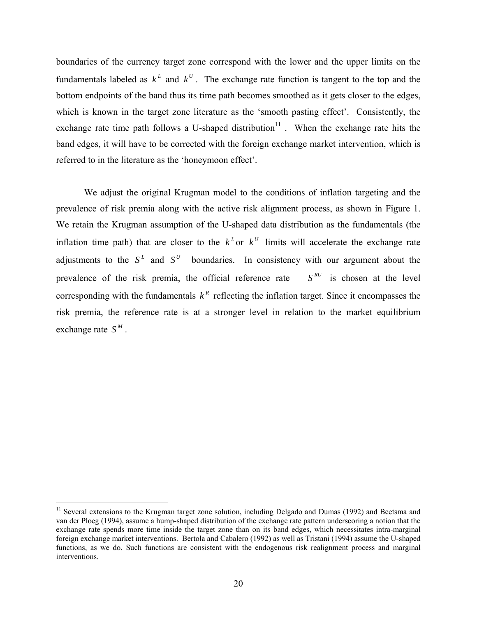boundaries of the currency target zone correspond with the lower and the upper limits on the fundamentals labeled as  $k^L$  and  $k^U$ . The exchange rate function is tangent to the top and the bottom endpoints of the band thus its time path becomes smoothed as it gets closer to the edges, which is known in the target zone literature as the 'smooth pasting effect'. Consistently, the exchange rate time path follows a U-shaped distribution $11$ . When the exchange rate hits the band edges, it will have to be corrected with the foreign exchange market intervention, which is referred to in the literature as the 'honeymoon effect'.

We adjust the original Krugman model to the conditions of inflation targeting and the prevalence of risk premia along with the active risk alignment process, as shown in Figure 1. We retain the Krugman assumption of the U-shaped data distribution as the fundamentals (the inflation time path) that are closer to the  $k<sup>L</sup>$  or  $k<sup>U</sup>$  limits will accelerate the exchange rate adjustments to the  $S<sup>L</sup>$  and  $S<sup>U</sup>$  boundaries. In consistency with our argument about the prevalence of the risk premia, the official reference rate  $S^{RU}$  is chosen at the level corresponding with the fundamentals  $k^R$  reflecting the inflation target. Since it encompasses the risk premia, the reference rate is at a stronger level in relation to the market equilibrium exchange rate  $S^M$ .

<sup>&</sup>lt;sup>11</sup> Several extensions to the Krugman target zone solution, including Delgado and Dumas (1992) and Beetsma and van der Ploeg (1994), assume a hump-shaped distribution of the exchange rate pattern underscoring a notion that the exchange rate spends more time inside the target zone than on its band edges, which necessitates intra-marginal foreign exchange market interventions. Bertola and Cabalero (1992) as well as Tristani (1994) assume the U-shaped functions, as we do. Such functions are consistent with the endogenous risk realignment process and marginal interventions.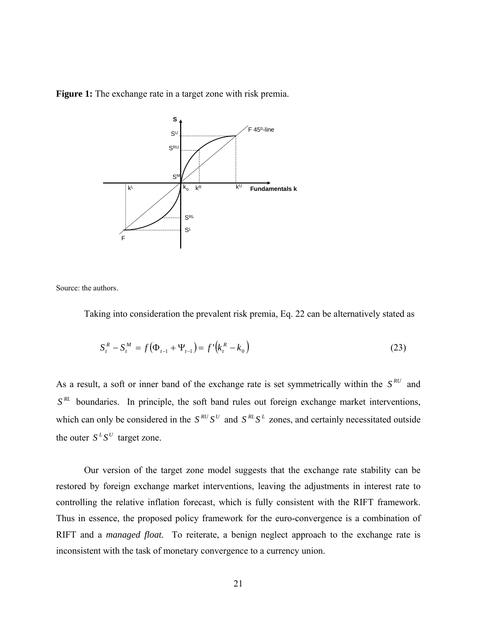



Source: the authors.

Taking into consideration the prevalent risk premia, Eq. 22 can be alternatively stated as

$$
S_t^R - S_t^M = f(\Phi_{t-1} + \Psi_{t-1}) = f'(k_t^R - k_0)
$$
\n(23)

As a result, a soft or inner band of the exchange rate is set symmetrically within the  $S^{RU}$  and  $S<sup>RL</sup>$  boundaries. In principle, the soft band rules out foreign exchange market interventions, which can only be considered in the  $S^{RU}S^U$  and  $S^{RL}S^L$  zones, and certainly necessitated outside the outer  $S^L S^U$  target zone.

Our version of the target zone model suggests that the exchange rate stability can be restored by foreign exchange market interventions, leaving the adjustments in interest rate to controlling the relative inflation forecast, which is fully consistent with the RIFT framework. Thus in essence, the proposed policy framework for the euro-convergence is a combination of RIFT and a *managed float.* To reiterate, a benign neglect approach to the exchange rate is inconsistent with the task of monetary convergence to a currency union.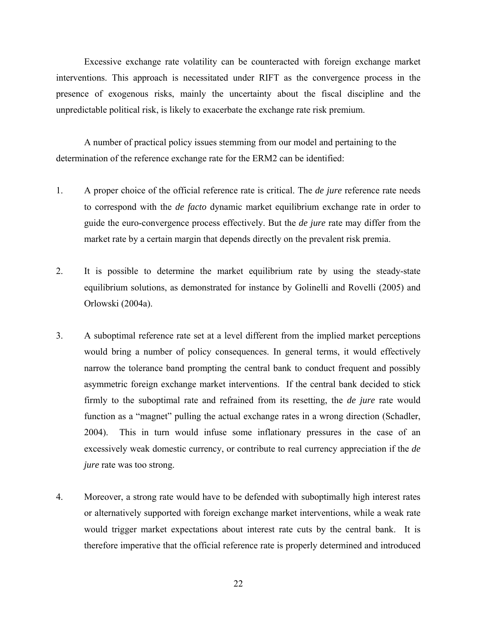Excessive exchange rate volatility can be counteracted with foreign exchange market interventions. This approach is necessitated under RIFT as the convergence process in the presence of exogenous risks, mainly the uncertainty about the fiscal discipline and the unpredictable political risk, is likely to exacerbate the exchange rate risk premium.

A number of practical policy issues stemming from our model and pertaining to the determination of the reference exchange rate for the ERM2 can be identified:

- 1. A proper choice of the official reference rate is critical. The *de jure* reference rate needs to correspond with the *de facto* dynamic market equilibrium exchange rate in order to guide the euro-convergence process effectively. But the *de jure* rate may differ from the market rate by a certain margin that depends directly on the prevalent risk premia.
- 2. It is possible to determine the market equilibrium rate by using the steady-state equilibrium solutions, as demonstrated for instance by Golinelli and Rovelli (2005) and Orlowski (2004a).
- 3. A suboptimal reference rate set at a level different from the implied market perceptions would bring a number of policy consequences. In general terms, it would effectively narrow the tolerance band prompting the central bank to conduct frequent and possibly asymmetric foreign exchange market interventions. If the central bank decided to stick firmly to the suboptimal rate and refrained from its resetting, the *de jure* rate would function as a "magnet" pulling the actual exchange rates in a wrong direction (Schadler, 2004). This in turn would infuse some inflationary pressures in the case of an excessively weak domestic currency, or contribute to real currency appreciation if the *de jure* rate was too strong.
- 4. Moreover, a strong rate would have to be defended with suboptimally high interest rates or alternatively supported with foreign exchange market interventions, while a weak rate would trigger market expectations about interest rate cuts by the central bank. It is therefore imperative that the official reference rate is properly determined and introduced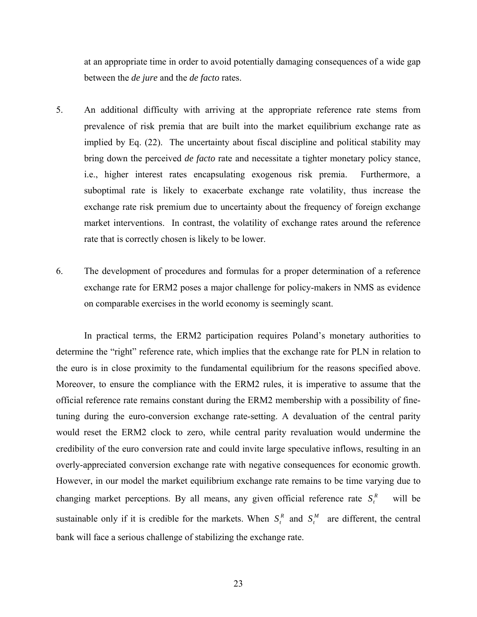at an appropriate time in order to avoid potentially damaging consequences of a wide gap between the *de jure* and the *de facto* rates.

- 5. An additional difficulty with arriving at the appropriate reference rate stems from prevalence of risk premia that are built into the market equilibrium exchange rate as implied by Eq. (22). The uncertainty about fiscal discipline and political stability may bring down the perceived *de facto* rate and necessitate a tighter monetary policy stance, i.e., higher interest rates encapsulating exogenous risk premia. Furthermore, a suboptimal rate is likely to exacerbate exchange rate volatility, thus increase the exchange rate risk premium due to uncertainty about the frequency of foreign exchange market interventions. In contrast, the volatility of exchange rates around the reference rate that is correctly chosen is likely to be lower.
- 6. The development of procedures and formulas for a proper determination of a reference exchange rate for ERM2 poses a major challenge for policy-makers in NMS as evidence on comparable exercises in the world economy is seemingly scant.

In practical terms, the ERM2 participation requires Poland's monetary authorities to determine the "right" reference rate, which implies that the exchange rate for PLN in relation to the euro is in close proximity to the fundamental equilibrium for the reasons specified above. Moreover, to ensure the compliance with the ERM2 rules, it is imperative to assume that the official reference rate remains constant during the ERM2 membership with a possibility of finetuning during the euro-conversion exchange rate-setting. A devaluation of the central parity would reset the ERM2 clock to zero, while central parity revaluation would undermine the credibility of the euro conversion rate and could invite large speculative inflows, resulting in an overly-appreciated conversion exchange rate with negative consequences for economic growth. However, in our model the market equilibrium exchange rate remains to be time varying due to changing market perceptions. By all means, any given official reference rate  $S_t^R$  will be sustainable only if it is credible for the markets. When  $S_t^R$  and  $S_t^M$  are different, the central bank will face a serious challenge of stabilizing the exchange rate.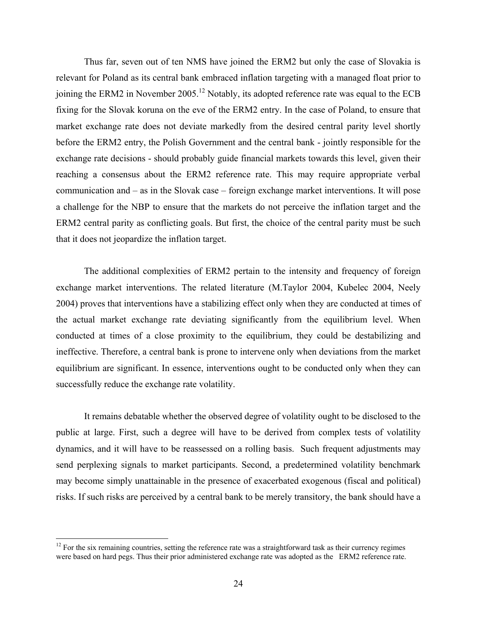Thus far, seven out of ten NMS have joined the ERM2 but only the case of Slovakia is relevant for Poland as its central bank embraced inflation targeting with a managed float prior to joining the ERM2 in November 2005.<sup>12</sup> Notably, its adopted reference rate was equal to the ECB fixing for the Slovak koruna on the eve of the ERM2 entry. In the case of Poland, to ensure that market exchange rate does not deviate markedly from the desired central parity level shortly before the ERM2 entry, the Polish Government and the central bank - jointly responsible for the exchange rate decisions - should probably guide financial markets towards this level, given their reaching a consensus about the ERM2 reference rate. This may require appropriate verbal communication and – as in the Slovak case – foreign exchange market interventions. It will pose a challenge for the NBP to ensure that the markets do not perceive the inflation target and the ERM2 central parity as conflicting goals. But first, the choice of the central parity must be such that it does not jeopardize the inflation target.

The additional complexities of ERM2 pertain to the intensity and frequency of foreign exchange market interventions. The related literature (M.Taylor 2004, Kubelec 2004, Neely 2004) proves that interventions have a stabilizing effect only when they are conducted at times of the actual market exchange rate deviating significantly from the equilibrium level. When conducted at times of a close proximity to the equilibrium, they could be destabilizing and ineffective. Therefore, a central bank is prone to intervene only when deviations from the market equilibrium are significant. In essence, interventions ought to be conducted only when they can successfully reduce the exchange rate volatility.

It remains debatable whether the observed degree of volatility ought to be disclosed to the public at large. First, such a degree will have to be derived from complex tests of volatility dynamics, and it will have to be reassessed on a rolling basis. Such frequent adjustments may send perplexing signals to market participants. Second, a predetermined volatility benchmark may become simply unattainable in the presence of exacerbated exogenous (fiscal and political) risks. If such risks are perceived by a central bank to be merely transitory, the bank should have a

 $12$  For the six remaining countries, setting the reference rate was a straightforward task as their currency regimes were based on hard pegs. Thus their prior administered exchange rate was adopted as the ERM2 reference rate.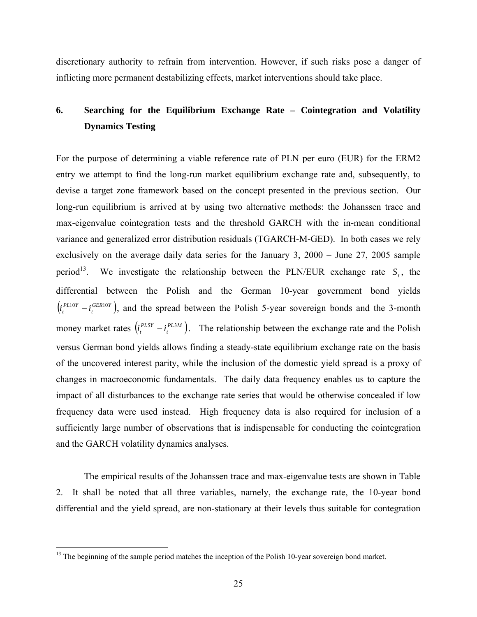discretionary authority to refrain from intervention. However, if such risks pose a danger of inflicting more permanent destabilizing effects, market interventions should take place.

## **6. Searching for the Equilibrium Exchange Rate – Cointegration and Volatility Dynamics Testing**

For the purpose of determining a viable reference rate of PLN per euro (EUR) for the ERM2 entry we attempt to find the long-run market equilibrium exchange rate and, subsequently, to devise a target zone framework based on the concept presented in the previous section. Our long-run equilibrium is arrived at by using two alternative methods: the Johanssen trace and max-eigenvalue cointegration tests and the threshold GARCH with the in-mean conditional variance and generalized error distribution residuals (TGARCH-M-GED). In both cases we rely exclusively on the average daily data series for the January 3, 2000 – June 27, 2005 sample period<sup>13</sup>. We investigate the relationship between the PLN/EUR exchange rate  $S_t$ , the differential between the Polish and the German 10-year government bond yields  $\left( i_t^{PL10Y} - i_t^{GER10Y} \right)$  $i_t^{PL10Y} - i_t^{GER10Y}$ , and the spread between the Polish 5-year sovereign bonds and the 3-month money market rates  $(i_t^{PLSY} - i_t^{PL3M})$  $i_t^{PLSY} - i_t^{PLSM}$ ). The relationship between the exchange rate and the Polish versus German bond yields allows finding a steady-state equilibrium exchange rate on the basis of the uncovered interest parity, while the inclusion of the domestic yield spread is a proxy of changes in macroeconomic fundamentals. The daily data frequency enables us to capture the impact of all disturbances to the exchange rate series that would be otherwise concealed if low frequency data were used instead. High frequency data is also required for inclusion of a sufficiently large number of observations that is indispensable for conducting the cointegration and the GARCH volatility dynamics analyses.

The empirical results of the Johanssen trace and max-eigenvalue tests are shown in Table 2. It shall be noted that all three variables, namely, the exchange rate, the 10-year bond differential and the yield spread, are non-stationary at their levels thus suitable for contegration

<u>.</u>

<sup>&</sup>lt;sup>13</sup> The beginning of the sample period matches the inception of the Polish 10-year sovereign bond market.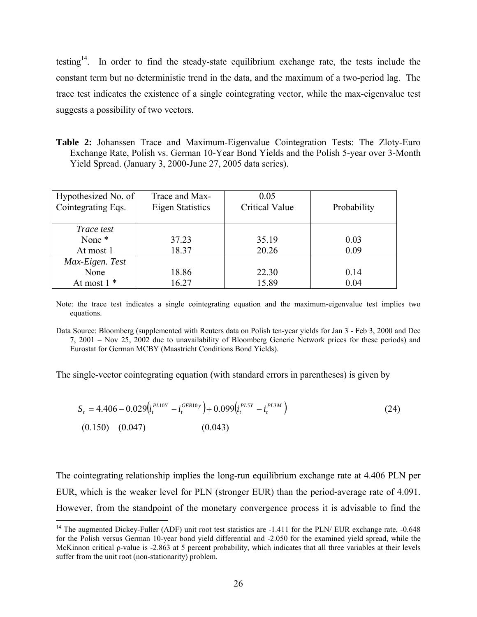testing<sup>14</sup>. In order to find the steady-state equilibrium exchange rate, the tests include the constant term but no deterministic trend in the data, and the maximum of a two-period lag. The trace test indicates the existence of a single cointegrating vector, while the max-eigenvalue test suggests a possibility of two vectors.

**Table 2:** Johanssen Trace and Maximum-Eigenvalue Cointegration Tests: The Zloty-Euro Exchange Rate, Polish vs. German 10-Year Bond Yields and the Polish 5-year over 3-Month Yield Spread. (January 3, 2000-June 27, 2005 data series).

| Hypothesized No. of<br>Cointegrating Eqs. | Trace and Max-<br><b>Eigen Statistics</b> | 0.05<br><b>Critical Value</b> | Probability  |
|-------------------------------------------|-------------------------------------------|-------------------------------|--------------|
| <i>Trace test</i><br>None *<br>At most 1  | 37.23<br>18.37                            | 35.19<br>20.26                | 0.03<br>0.09 |
| Max-Eigen. Test<br>None<br>At most $1*$   | 18.86<br>16.27                            | 22.30<br>15.89                | 0.14<br>0.04 |

Note: the trace test indicates a single cointegrating equation and the maximum-eigenvalue test implies two equations.

The single-vector cointegrating equation (with standard errors in parentheses) is given by

$$
S_{t} = 4.406 - 0.029 \left( i_{t}^{PL10Y} - i_{t}^{GEN10y} \right) + 0.099 \left( i_{t}^{PL5Y} - i_{t}^{PL3M} \right)
$$
\n
$$
(0.150) \quad (0.047) \quad (0.043)
$$
\n
$$
(24)
$$

The cointegrating relationship implies the long-run equilibrium exchange rate at 4.406 PLN per EUR, which is the weaker level for PLN (stronger EUR) than the period-average rate of 4.091. However, from the standpoint of the monetary convergence process it is advisable to find the

Data Source: Bloomberg (supplemented with Reuters data on Polish ten-year yields for Jan 3 - Feb 3, 2000 and Dec 7, 2001 – Nov 25, 2002 due to unavailability of Bloomberg Generic Network prices for these periods) and Eurostat for German MCBY (Maastricht Conditions Bond Yields).

<sup>&</sup>lt;sup>14</sup> The augmented Dickey-Fuller (ADF) unit root test statistics are  $-1.411$  for the PLN/ EUR exchange rate,  $-0.648$ for the Polish versus German 10-year bond yield differential and -2.050 for the examined yield spread, while the McKinnon critical ρ-value is -2.863 at 5 percent probability, which indicates that all three variables at their levels suffer from the unit root (non-stationarity) problem.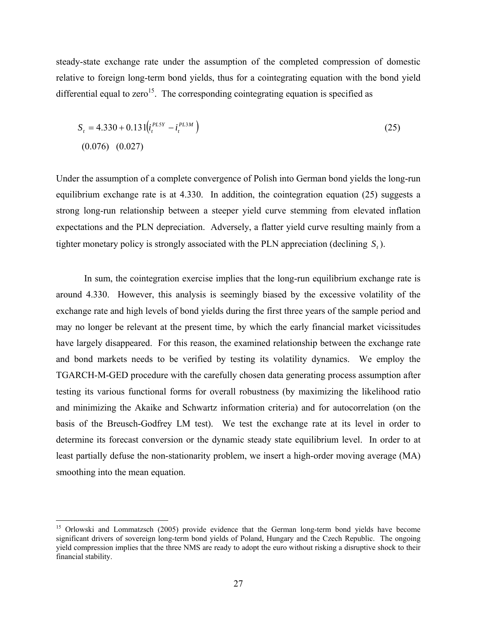steady-state exchange rate under the assumption of the completed compression of domestic relative to foreign long-term bond yields, thus for a cointegrating equation with the bond yield differential equal to zero<sup>15</sup>. The corresponding cointegrating equation is specified as

$$
S_t = 4.330 + 0.131 \left( i_t^{PLSY} - i_t^{PL3M} \right)
$$
\n
$$
(0.076) \quad (0.027)
$$
\n
$$
(1.0000) \quad (0.0011)
$$

Under the assumption of a complete convergence of Polish into German bond yields the long-run equilibrium exchange rate is at 4.330. In addition, the cointegration equation (25) suggests a strong long-run relationship between a steeper yield curve stemming from elevated inflation expectations and the PLN depreciation. Adversely, a flatter yield curve resulting mainly from a tighter monetary policy is strongly associated with the PLN appreciation (declining *S<sub>t</sub>*).

 In sum, the cointegration exercise implies that the long-run equilibrium exchange rate is around 4.330. However, this analysis is seemingly biased by the excessive volatility of the exchange rate and high levels of bond yields during the first three years of the sample period and may no longer be relevant at the present time, by which the early financial market vicissitudes have largely disappeared. For this reason, the examined relationship between the exchange rate and bond markets needs to be verified by testing its volatility dynamics. We employ the TGARCH-M-GED procedure with the carefully chosen data generating process assumption after testing its various functional forms for overall robustness (by maximizing the likelihood ratio and minimizing the Akaike and Schwartz information criteria) and for autocorrelation (on the basis of the Breusch-Godfrey LM test). We test the exchange rate at its level in order to determine its forecast conversion or the dynamic steady state equilibrium level. In order to at least partially defuse the non-stationarity problem, we insert a high-order moving average (MA) smoothing into the mean equation.

<u>.</u>

<sup>&</sup>lt;sup>15</sup> Orlowski and Lommatzsch (2005) provide evidence that the German long-term bond yields have become significant drivers of sovereign long-term bond yields of Poland, Hungary and the Czech Republic. The ongoing yield compression implies that the three NMS are ready to adopt the euro without risking a disruptive shock to their financial stability.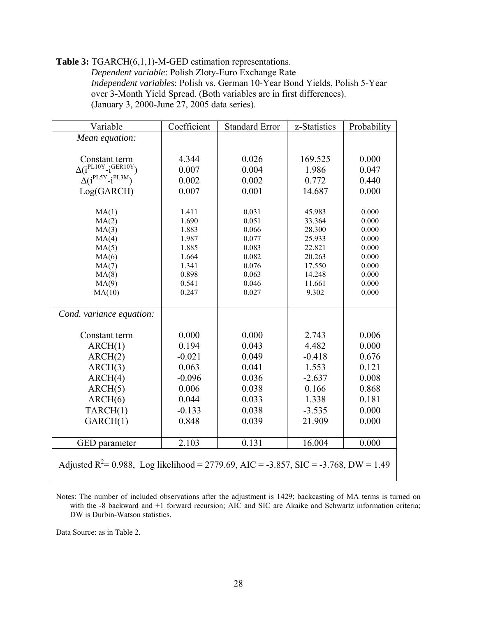#### **Table 3:** TGARCH(6,1,1)-M-GED estimation representations. *Dependent variable*: Polish Zloty-Euro Exchange Rate *Independent variables*: Polish vs. German 10-Year Bond Yields, Polish 5-Year over 3-Month Yield Spread. (Both variables are in first differences). (January 3, 2000-June 27, 2005 data series).

| Variable                                                                                         | Coefficient    | <b>Standard Error</b> | z-Statistics     | Probability    |  |
|--------------------------------------------------------------------------------------------------|----------------|-----------------------|------------------|----------------|--|
| Mean equation:                                                                                   |                |                       |                  |                |  |
|                                                                                                  |                |                       |                  |                |  |
| Constant term                                                                                    | 4.344          | 0.026                 | 169.525          | 0.000          |  |
| $\Delta(i^{PL10Y}-i^{GER10Y})$                                                                   | 0.007          | 0.004                 | 1.986            | 0.047          |  |
| $\Delta(i^{PL5Y}-i^{PL3M})$                                                                      | 0.002          | 0.002                 | 0.772            | 0.440          |  |
| Log(GARCH)                                                                                       | 0.007          | 0.001                 | 14.687           | 0.000          |  |
|                                                                                                  |                |                       |                  |                |  |
| MA(1)                                                                                            | 1.411          | 0.031                 | 45.983           | 0.000          |  |
| MA(2)                                                                                            | 1.690          | 0.051                 | 33.364           | 0.000          |  |
| MA(3)                                                                                            | 1.883          | 0.066                 | 28.300           | 0.000          |  |
| MA(4)                                                                                            | 1.987<br>1.885 | 0.077<br>0.083        | 25.933<br>22.821 | 0.000<br>0.000 |  |
| MA(5)<br>MA(6)                                                                                   | 1.664          | 0.082                 | 20.263           | 0.000          |  |
| MA(7)                                                                                            | 1.341          | 0.076                 | 17.550           | 0.000          |  |
| MA(8)                                                                                            | 0.898          | 0.063                 | 14.248           | 0.000          |  |
| MA(9)                                                                                            | 0.541          | 0.046                 | 11.661           | 0.000          |  |
| MA(10)                                                                                           | 0.247          | 0.027                 | 9.302            | 0.000          |  |
|                                                                                                  |                |                       |                  |                |  |
| Cond. variance equation:                                                                         |                |                       |                  |                |  |
|                                                                                                  |                |                       |                  |                |  |
| Constant term                                                                                    | 0.000          | 0.000                 | 2.743            | 0.006          |  |
| ARCH(1)                                                                                          | 0.194          | 0.043                 | 4.482            | 0.000          |  |
| ARCH(2)                                                                                          | $-0.021$       | 0.049                 | $-0.418$         | 0.676          |  |
| ARCH(3)                                                                                          | 0.063          | 0.041                 | 1.553            | 0.121          |  |
| ARCH(4)                                                                                          | $-0.096$       | 0.036                 | $-2.637$         | 0.008          |  |
| ARCH(5)                                                                                          | 0.006          | 0.038                 | 0.166            | 0.868          |  |
| ARCH(6)                                                                                          | 0.044          | 0.033                 | 1.338            | 0.181          |  |
| TARCH(1)                                                                                         | $-0.133$       | 0.038                 | $-3.535$         | 0.000          |  |
| GARCH(1)                                                                                         | 0.848          | 0.039                 | 21.909           | 0.000          |  |
|                                                                                                  |                |                       |                  |                |  |
| GED parameter                                                                                    | 2.103          | 0.131                 | 16.004           | 0.000          |  |
|                                                                                                  |                |                       |                  |                |  |
| Adjusted R <sup>2</sup> = 0.988, Log likelihood = 2779.69, AIC = -3.857, SIC = -3.768, DW = 1.49 |                |                       |                  |                |  |
|                                                                                                  |                |                       |                  |                |  |

Notes: The number of included observations after the adjustment is 1429; backcasting of MA terms is turned on with the -8 backward and +1 forward recursion; AIC and SIC are Akaike and Schwartz information criteria; DW is Durbin-Watson statistics.

Data Source: as in Table 2.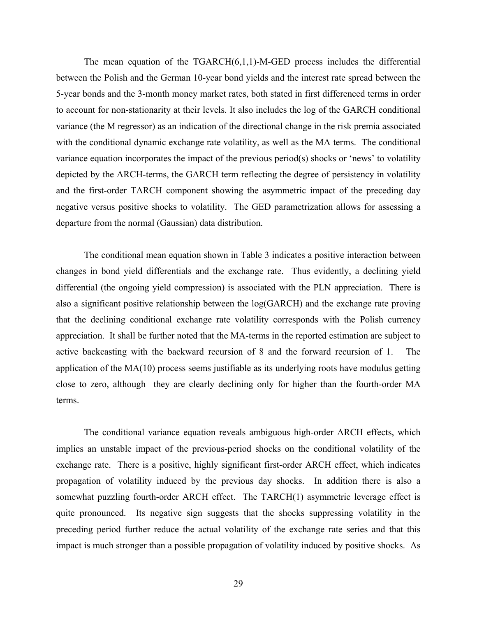The mean equation of the  $TGARCH(6,1,1)$ -M-GED process includes the differential between the Polish and the German 10-year bond yields and the interest rate spread between the 5-year bonds and the 3-month money market rates, both stated in first differenced terms in order to account for non-stationarity at their levels. It also includes the log of the GARCH conditional variance (the M regressor) as an indication of the directional change in the risk premia associated with the conditional dynamic exchange rate volatility, as well as the MA terms. The conditional variance equation incorporates the impact of the previous period(s) shocks or 'news' to volatility depicted by the ARCH-terms, the GARCH term reflecting the degree of persistency in volatility and the first-order TARCH component showing the asymmetric impact of the preceding day negative versus positive shocks to volatility. The GED parametrization allows for assessing a departure from the normal (Gaussian) data distribution.

 The conditional mean equation shown in Table 3 indicates a positive interaction between changes in bond yield differentials and the exchange rate. Thus evidently, a declining yield differential (the ongoing yield compression) is associated with the PLN appreciation. There is also a significant positive relationship between the log(GARCH) and the exchange rate proving that the declining conditional exchange rate volatility corresponds with the Polish currency appreciation. It shall be further noted that the MA-terms in the reported estimation are subject to active backcasting with the backward recursion of 8 and the forward recursion of 1. The application of the MA(10) process seems justifiable as its underlying roots have modulus getting close to zero, although they are clearly declining only for higher than the fourth-order MA terms.

 The conditional variance equation reveals ambiguous high-order ARCH effects, which implies an unstable impact of the previous-period shocks on the conditional volatility of the exchange rate. There is a positive, highly significant first-order ARCH effect, which indicates propagation of volatility induced by the previous day shocks. In addition there is also a somewhat puzzling fourth-order ARCH effect. The TARCH(1) asymmetric leverage effect is quite pronounced. Its negative sign suggests that the shocks suppressing volatility in the preceding period further reduce the actual volatility of the exchange rate series and that this impact is much stronger than a possible propagation of volatility induced by positive shocks. As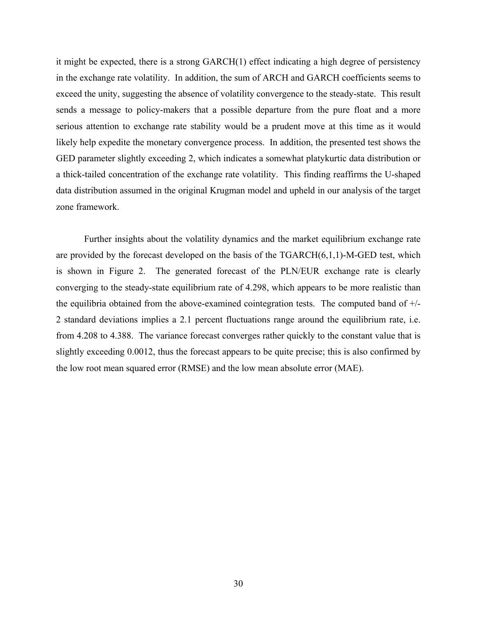it might be expected, there is a strong GARCH(1) effect indicating a high degree of persistency in the exchange rate volatility. In addition, the sum of ARCH and GARCH coefficients seems to exceed the unity, suggesting the absence of volatility convergence to the steady-state. This result sends a message to policy-makers that a possible departure from the pure float and a more serious attention to exchange rate stability would be a prudent move at this time as it would likely help expedite the monetary convergence process. In addition, the presented test shows the GED parameter slightly exceeding 2, which indicates a somewhat platykurtic data distribution or a thick-tailed concentration of the exchange rate volatility. This finding reaffirms the U-shaped data distribution assumed in the original Krugman model and upheld in our analysis of the target zone framework.

 Further insights about the volatility dynamics and the market equilibrium exchange rate are provided by the forecast developed on the basis of the TGARCH(6,1,1)-M-GED test, which is shown in Figure 2. The generated forecast of the PLN/EUR exchange rate is clearly converging to the steady-state equilibrium rate of 4.298, which appears to be more realistic than the equilibria obtained from the above-examined cointegration tests. The computed band of +/- 2 standard deviations implies a 2.1 percent fluctuations range around the equilibrium rate, i.e. from 4.208 to 4.388. The variance forecast converges rather quickly to the constant value that is slightly exceeding 0.0012, thus the forecast appears to be quite precise; this is also confirmed by the low root mean squared error (RMSE) and the low mean absolute error (MAE).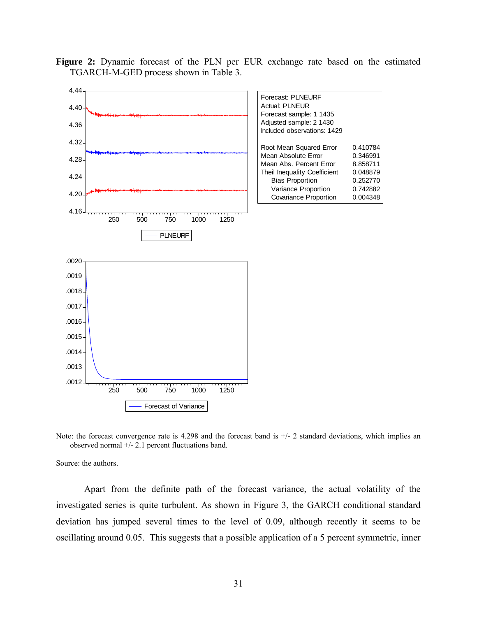**Figure 2:** Dynamic forecast of the PLN per EUR exchange rate based on the estimated TGARCH-M-GED process shown in Table 3.



Note: the forecast convergence rate is 4.298 and the forecast band is  $+/-2$  standard deviations, which implies an observed normal +/- 2.1 percent fluctuations band.

Source: the authors.

Apart from the definite path of the forecast variance, the actual volatility of the investigated series is quite turbulent. As shown in Figure 3, the GARCH conditional standard deviation has jumped several times to the level of 0.09, although recently it seems to be oscillating around 0.05. This suggests that a possible application of a 5 percent symmetric, inner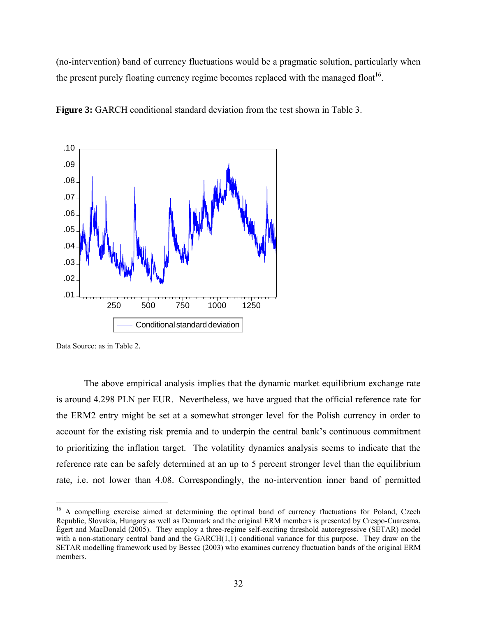(no-intervention) band of currency fluctuations would be a pragmatic solution, particularly when the present purely floating currency regime becomes replaced with the managed float<sup>16</sup>.



**Figure 3:** GARCH conditional standard deviation from the test shown in Table 3.

Data Source: as in Table 2.

 $\overline{a}$ 

 The above empirical analysis implies that the dynamic market equilibrium exchange rate is around 4.298 PLN per EUR. Nevertheless, we have argued that the official reference rate for the ERM2 entry might be set at a somewhat stronger level for the Polish currency in order to account for the existing risk premia and to underpin the central bank's continuous commitment to prioritizing the inflation target. The volatility dynamics analysis seems to indicate that the reference rate can be safely determined at an up to 5 percent stronger level than the equilibrium rate, i.e. not lower than 4.08. Correspondingly, the no-intervention inner band of permitted

<sup>&</sup>lt;sup>16</sup> A compelling exercise aimed at determining the optimal band of currency fluctuations for Poland, Czech Republic, Slovakia, Hungary as well as Denmark and the original ERM members is presented by Crespo-Cuaresma, Égert and MacDonald (2005). They employ a three-regime self-exciting threshold autoregressive (SETAR) model with a non-stationary central band and the GARCH(1,1) conditional variance for this purpose. They draw on the SETAR modelling framework used by Bessec (2003) who examines currency fluctuation bands of the original ERM members.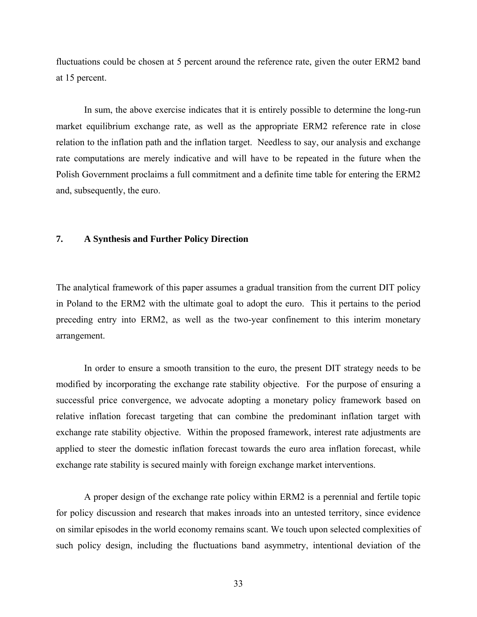fluctuations could be chosen at 5 percent around the reference rate, given the outer ERM2 band at 15 percent.

In sum, the above exercise indicates that it is entirely possible to determine the long-run market equilibrium exchange rate, as well as the appropriate ERM2 reference rate in close relation to the inflation path and the inflation target. Needless to say, our analysis and exchange rate computations are merely indicative and will have to be repeated in the future when the Polish Government proclaims a full commitment and a definite time table for entering the ERM2 and, subsequently, the euro.

#### **7. A Synthesis and Further Policy Direction**

The analytical framework of this paper assumes a gradual transition from the current DIT policy in Poland to the ERM2 with the ultimate goal to adopt the euro. This it pertains to the period preceding entry into ERM2, as well as the two-year confinement to this interim monetary arrangement.

 In order to ensure a smooth transition to the euro, the present DIT strategy needs to be modified by incorporating the exchange rate stability objective. For the purpose of ensuring a successful price convergence, we advocate adopting a monetary policy framework based on relative inflation forecast targeting that can combine the predominant inflation target with exchange rate stability objective. Within the proposed framework, interest rate adjustments are applied to steer the domestic inflation forecast towards the euro area inflation forecast, while exchange rate stability is secured mainly with foreign exchange market interventions.

 A proper design of the exchange rate policy within ERM2 is a perennial and fertile topic for policy discussion and research that makes inroads into an untested territory, since evidence on similar episodes in the world economy remains scant. We touch upon selected complexities of such policy design, including the fluctuations band asymmetry, intentional deviation of the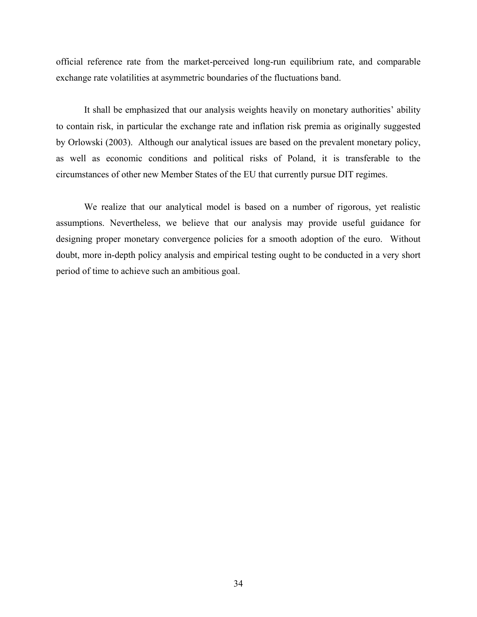official reference rate from the market-perceived long-run equilibrium rate, and comparable exchange rate volatilities at asymmetric boundaries of the fluctuations band.

 It shall be emphasized that our analysis weights heavily on monetary authorities' ability to contain risk, in particular the exchange rate and inflation risk premia as originally suggested by Orlowski (2003). Although our analytical issues are based on the prevalent monetary policy, as well as economic conditions and political risks of Poland, it is transferable to the circumstances of other new Member States of the EU that currently pursue DIT regimes.

 We realize that our analytical model is based on a number of rigorous, yet realistic assumptions. Nevertheless, we believe that our analysis may provide useful guidance for designing proper monetary convergence policies for a smooth adoption of the euro. Without doubt, more in-depth policy analysis and empirical testing ought to be conducted in a very short period of time to achieve such an ambitious goal.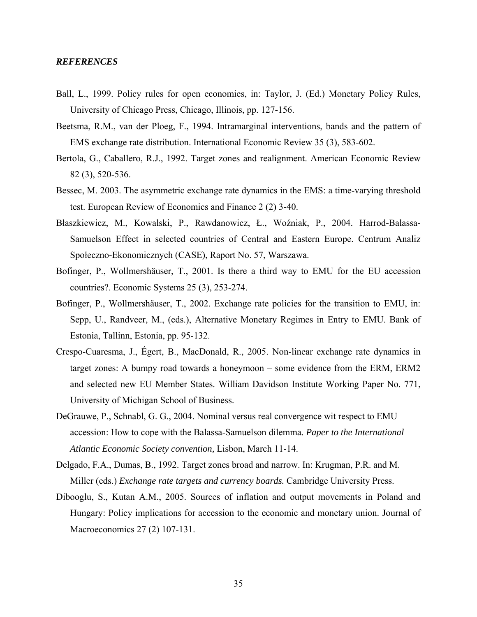#### *REFERENCES*

- Ball, L., 1999. Policy rules for open economies, in: Taylor, J. (Ed.) Monetary Policy Rules, University of Chicago Press, Chicago, Illinois, pp. 127-156.
- Beetsma, R.M., van der Ploeg, F., 1994. Intramarginal interventions, bands and the pattern of EMS exchange rate distribution. International Economic Review 35 (3), 583-602.
- Bertola, G., Caballero, R.J., 1992. Target zones and realignment. American Economic Review 82 (3), 520-536.
- Bessec, M. 2003. The asymmetric exchange rate dynamics in the EMS: a time-varying threshold test. European Review of Economics and Finance 2 (2) 3-40.
- Błaszkiewicz, M., Kowalski, P., Rawdanowicz, Ł., Woźniak, P., 2004. Harrod-Balassa-Samuelson Effect in selected countries of Central and Eastern Europe. Centrum Analiz Społeczno-Ekonomicznych (CASE), Raport No. 57, Warszawa.
- Bofinger, P., Wollmershäuser, T., 2001. Is there a third way to EMU for the EU accession countries?. Economic Systems 25 (3), 253-274.
- Bofinger, P., Wollmershäuser, T., 2002. Exchange rate policies for the transition to EMU, in: Sepp, U., Randveer, M., (eds.), Alternative Monetary Regimes in Entry to EMU. Bank of Estonia, Tallinn, Estonia, pp. 95-132.
- Crespo-Cuaresma, J., Égert, B., MacDonald, R., 2005. Non-linear exchange rate dynamics in target zones: A bumpy road towards a honeymoon – some evidence from the ERM, ERM2 and selected new EU Member States. William Davidson Institute Working Paper No. 771, University of Michigan School of Business.
- DeGrauwe, P., Schnabl, G. G., 2004. Nominal versus real convergence wit respect to EMU accession: How to cope with the Balassa-Samuelson dilemma. *Paper to the International Atlantic Economic Society convention,* Lisbon, March 11-14.
- Delgado, F.A., Dumas, B., 1992. Target zones broad and narrow. In: Krugman, P.R. and M. Miller (eds.) *Exchange rate targets and currency boards.* Cambridge University Press.
- Dibooglu, S., Kutan A.M., 2005. Sources of inflation and output movements in Poland and Hungary: Policy implications for accession to the economic and monetary union. Journal of Macroeconomics 27 (2) 107-131.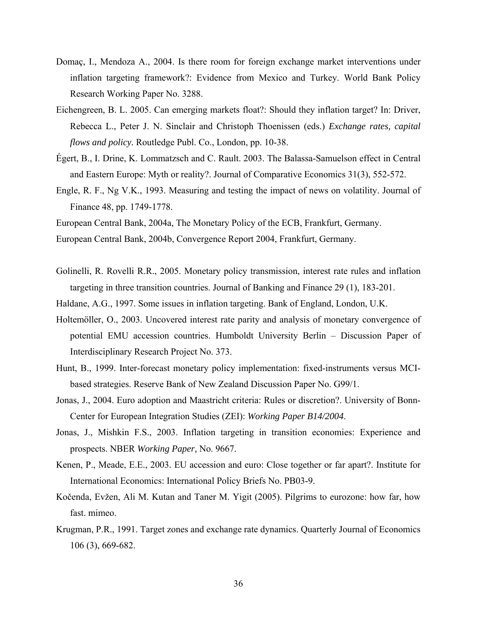- Domaç, I., Mendoza A., 2004. Is there room for foreign exchange market interventions under inflation targeting framework?: Evidence from Mexico and Turkey. World Bank Policy Research Working Paper No. 3288.
- Eichengreen, B. L. 2005. Can emerging markets float?: Should they inflation target? In: Driver, Rebecca L., Peter J. N. Sinclair and Christoph Thoenissen (eds.) *Exchange rates, capital flows and policy.* Routledge Publ. Co., London, pp. 10-38.
- Égert, B., I. Drine, K. Lommatzsch and C. Rault. 2003. The Balassa-Samuelson effect in Central and Eastern Europe: Myth or reality?. Journal of Comparative Economics 31(3), 552-572.
- Engle, R. F., Ng V.K., 1993. Measuring and testing the impact of news on volatility. Journal of Finance 48, pp. 1749-1778.
- European Central Bank, 2004a, The Monetary Policy of the ECB, Frankfurt, Germany.
- European Central Bank, 2004b, Convergence Report 2004, Frankfurt, Germany.
- Golinelli, R. Rovelli R.R., 2005. Monetary policy transmission, interest rate rules and inflation targeting in three transition countries. Journal of Banking and Finance 29 (1), 183-201.
- Haldane, A.G., 1997. Some issues in inflation targeting. Bank of England, London, U.K.
- Holtemöller, O., 2003. Uncovered interest rate parity and analysis of monetary convergence of potential EMU accession countries. Humboldt University Berlin – Discussion Paper of Interdisciplinary Research Project No. 373.
- Hunt, B., 1999. Inter-forecast monetary policy implementation: fixed-instruments versus MCIbased strategies. Reserve Bank of New Zealand Discussion Paper No. G99/1.
- Jonas, J., 2004. Euro adoption and Maastricht criteria: Rules or discretion?. University of Bonn-Center for European Integration Studies (ZEI): *Working Paper B14/2004*.
- Jonas, J., Mishkin F.S., 2003. Inflation targeting in transition economies: Experience and prospects. NBER *Working Paper,* No. 9667.
- Kenen, P., Meade, E.E., 2003. EU accession and euro: Close together or far apart?. Institute for International Economics: International Policy Briefs No. PB03-9.
- Kočenda, Evžen, Ali M. Kutan and Taner M. Yigit (2005). Pilgrims to eurozone: how far, how fast. mimeo.
- Krugman, P.R., 1991. Target zones and exchange rate dynamics. Quarterly Journal of Economics 106 (3), 669-682.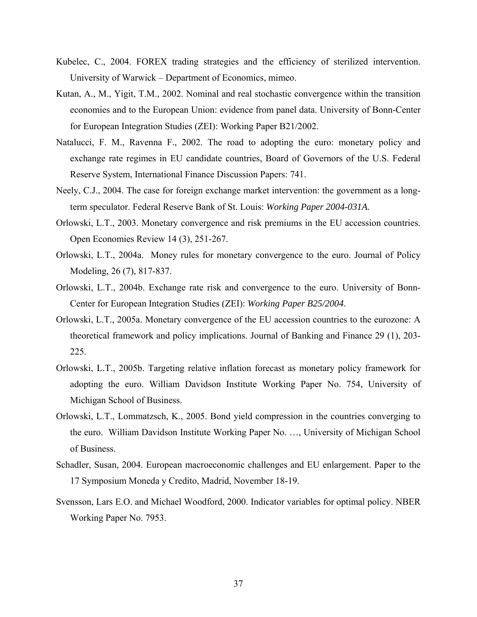- Kubelec, C., 2004. FOREX trading strategies and the efficiency of sterilized intervention. University of Warwick – Department of Economics, mimeo.
- Kutan, A., M., Yigit, T.M., 2002. Nominal and real stochastic convergence within the transition economies and to the European Union: evidence from panel data. University of Bonn-Center for European Integration Studies (ZEI): Working Paper B21/2002.
- Natalucci, F. M., Ravenna F., 2002. The road to adopting the euro: monetary policy and exchange rate regimes in EU candidate countries, Board of Governors of the U.S. Federal Reserve System, International Finance Discussion Papers: 741.
- Neely, C.J., 2004. The case for foreign exchange market intervention: the government as a longterm speculator. Federal Reserve Bank of St. Louis: *Working Paper 2004-031A.*
- Orlowski, L.T., 2003. Monetary convergence and risk premiums in the EU accession countries. Open Economies Review 14 (3), 251-267.
- Orlowski, L.T., 2004a. Money rules for monetary convergence to the euro. Journal of Policy Modeling, 26 (7), 817-837.
- Orlowski, L.T., 2004b. Exchange rate risk and convergence to the euro. University of Bonn-Center for European Integration Studies (ZEI): *Working Paper B25/2004*.
- Orlowski, L.T., 2005a. Monetary convergence of the EU accession countries to the eurozone: A theoretical framework and policy implications. Journal of Banking and Finance 29 (1), 203- 225.
- Orlowski, L.T., 2005b. Targeting relative inflation forecast as monetary policy framework for adopting the euro. William Davidson Institute Working Paper No. 754, University of Michigan School of Business.
- Orlowski, L.T., Lommatzsch, K., 2005. Bond yield compression in the countries converging to the euro. William Davidson Institute Working Paper No. …, University of Michigan School of Business.
- Schadler, Susan, 2004. European macroeconomic challenges and EU enlargement. Paper to the 17 Symposium Moneda y Credito, Madrid, November 18-19.
- Svensson, Lars E.O. and Michael Woodford, 2000. Indicator variables for optimal policy. NBER Working Paper No. 7953.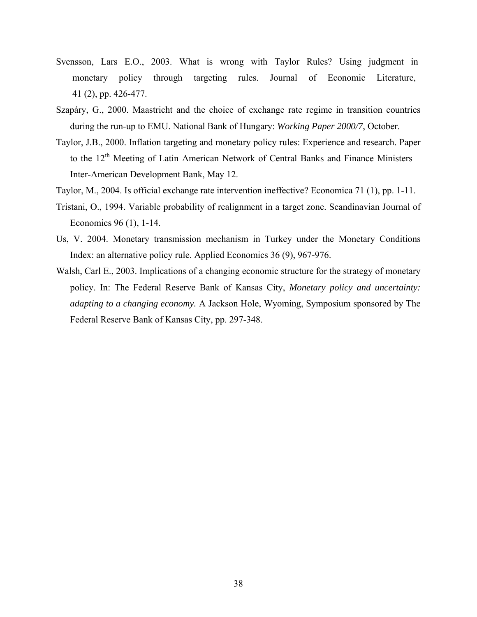- Svensson, Lars E.O., 2003. What is wrong with Taylor Rules? Using judgment in monetary policy through targeting rules. Journal of Economic Literature, 41 (2), pp. 426-477.
- Szapáry, G., 2000. Maastricht and the choice of exchange rate regime in transition countries during the run-up to EMU. National Bank of Hungary: *Working Paper 2000/7*, October.
- Taylor, J.B., 2000. Inflation targeting and monetary policy rules: Experience and research. Paper to the  $12<sup>th</sup>$  Meeting of Latin American Network of Central Banks and Finance Ministers – Inter-American Development Bank, May 12.
- Taylor, M., 2004. Is official exchange rate intervention ineffective? Economica 71 (1), pp. 1-11.
- Tristani, O., 1994. Variable probability of realignment in a target zone. Scandinavian Journal of Economics 96 (1), 1-14.
- Us, V. 2004. Monetary transmission mechanism in Turkey under the Monetary Conditions Index: an alternative policy rule. Applied Economics 36 (9), 967-976.
- Walsh, Carl E., 2003. Implications of a changing economic structure for the strategy of monetary policy. In: The Federal Reserve Bank of Kansas City, *Monetary policy and uncertainty: adapting to a changing economy.* A Jackson Hole, Wyoming, Symposium sponsored by The Federal Reserve Bank of Kansas City, pp. 297-348.